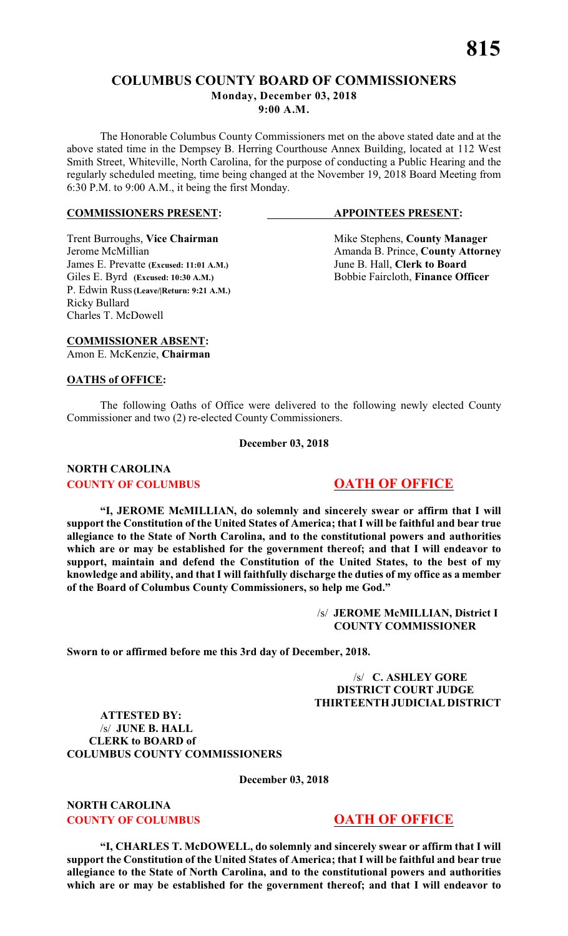# **C O L UMBUS COUNTY BOARD OF COMMISSIONERS Monday, December 03, 2018 9:00 A.M.**

The Honorable Columbus County Commissioners met on the above stated date and at the above stated time in the Dempsey B. Herring Courthouse Annex Building, located at 112 West Smith Street, Whiteville, North Carolina, for the purpose of conducting a Public Hearing and the regularly scheduled meeting, time being changed at the November 19, 2018 Board Meeting from 6:30 P.M. to 9:00 A.M., it being the first Monday.

#### **COMMISSIONERS PRESENT: APPOINTEES PRESENT:**

James E. Prevatte **(Excused: 11:01 A.M.)** June B. Hall, **Clerk to Board** Giles E. Byrd (Excused: 10:30 A.M.) Bobbie Faircloth, **Finance Officer** P. Edwin Russ**(Leave/|Return: 9:21 A.M.)** Ricky Bullard Charles T. McDowell

Trent Burroughs, Vice Chairman Mike Stephens, County Manager Jerome McMillian Amanda B. Prince, **County Attorney**

**COMMISSIONER ABSENT:** Amon E. McKenzie, **Chairman**

#### **OATHS of OFFICE:**

The following Oaths of Office were delivered to the following newly elected County Commissioner and two (2) re-elected County Commissioners.

#### **December 03, 2018**

# **NORTH CAROLINA COUNTY OF COLUMBUS 6 000 OATH OF OFFICE**

**"I, JEROME McMILLIAN, do solemnly and sincerely swear or affirm that I will support the Constitution of the United States of America; that I will be faithful and bear true allegiance to the State of North Carolina, and to the constitutional powers and authorities which are or may be established for the government thereof; and that I will endeavor to support, maintain and defend the Constitution of the United States, to the best of my knowledge and ability, and that I will faithfully discharge the duties of my office as a member of the Board of Columbus County Commissioners, so help me God."**

> /s/ **JEROME McMILLIAN, District I COUNTY COMMISSIONER**

**Sworn to or affirmed before me this 3rd day of December, 2018.**

#### /s/ **C. ASHLEY GORE DISTRICT COURT JUDGE THIRTEENTH JUDICIAL DISTRICT**

**ATTESTED BY:** /s/ **JUNE B. HALL CLERK to BOARD of COLUMBUS COUNTY COMMISSIONERS**

**December 03, 2018**

**NORTH CAROLINA COUNTY OF COLUMBUS 6 000 OATH OF OFFICE** 

**"I, CHARLES T. McDOWELL, do solemnly and sincerely swear or affirm that I will support the Constitution of the United States of America; that I will be faithful and bear true allegiance to the State of North Carolina, and to the constitutional powers and authorities which are or may be established for the government thereof; and that I will endeavor to**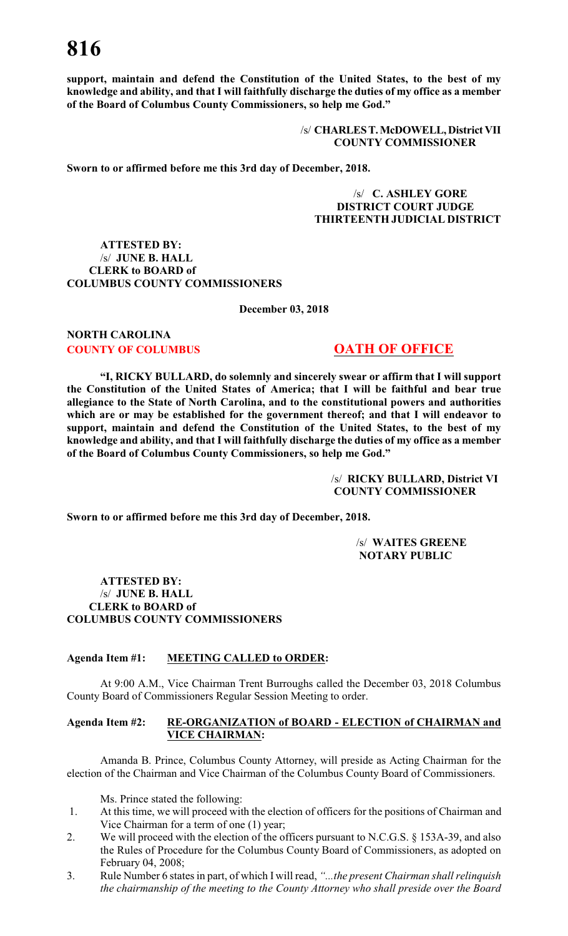**support, maintain and defend the Constitution of the United States, to the best of my knowledge and ability, and that I will faithfully discharge the duties of my office as a member of the Board of Columbus County Commissioners, so help me God."**

> /s/ **CHARLES T. McDOWELL, District VII COUNTY COMMISSIONER**

**Sworn to or affirmed before me this 3rd day of December, 2018.**

/s/ **C. ASHLEY GORE DISTRICT COURT JUDGE THIRTEENTH JUDICIAL DISTRICT**

**ATTESTED BY:** /s/ **JUNE B. HALL CLERK to BOARD of COLUMBUS COUNTY COMMISSIONERS**

**December 03, 2018**

# **NORTH CAROLINA COUNTY OF COLUMBUS 6 000 OATH OF OFFICE**

**"I, RICKY BULLARD, do solemnly and sincerely swear or affirm that I will support the Constitution of the United States of America; that I will be faithful and bear true allegiance to the State of North Carolina, and to the constitutional powers and authorities which are or may be established for the government thereof; and that I will endeavor to support, maintain and defend the Constitution of the United States, to the best of my knowledge and ability, and that I will faithfully discharge the duties of my office as a member of the Board of Columbus County Commissioners, so help me God."**

> /s/ **RICKY BULLARD, District VI COUNTY COMMISSIONER**

**Sworn to or affirmed before me this 3rd day of December, 2018.**

/s/ **WAITES GREENE NOTARY PUBLIC**

**ATTESTED BY:** /s/ **JUNE B. HALL CLERK to BOARD of COLUMBUS COUNTY COMMISSIONERS**

#### **Agenda Item #1: MEETING CALLED to ORDER:**

At 9:00 A.M., Vice Chairman Trent Burroughs called the December 03, 2018 Columbus County Board of Commissioners Regular Session Meeting to order.

#### **Agenda Item #2: RE-ORGANIZATION of BOARD - ELECTION of CHAIRMAN and VICE CHAIRMAN:**

Amanda B. Prince, Columbus County Attorney, will preside as Acting Chairman for the election of the Chairman and Vice Chairman of the Columbus County Board of Commissioners.

Ms. Prince stated the following:

- 1. At this time, we will proceed with the election of officers for the positions of Chairman and Vice Chairman for a term of one (1) year;
- 2. We will proceed with the election of the officers pursuant to N.C.G.S. § 153A-39, and also the Rules of Procedure for the Columbus County Board of Commissioners, as adopted on February 04, 2008;
- 3. Rule Number 6 states in part, of which I will read, *"...the present Chairman shall relinquish the chairmanship of the meeting to the County Attorney who shall preside over the Board*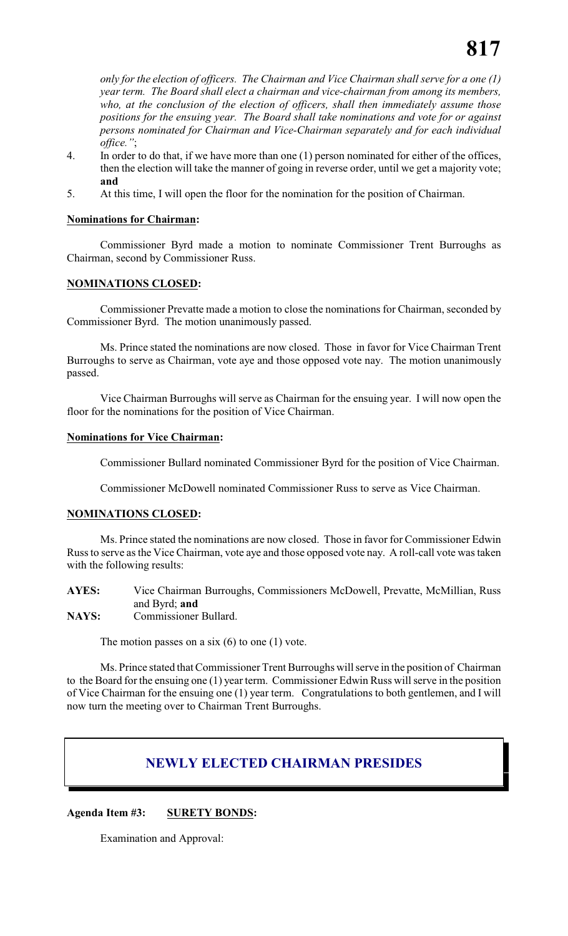*only for the election of officers. The Chairman and Vice Chairman shall serve for a one (1) year term. The Board shall elect a chairman and vice-chairman from among its members, who, at the conclusion of the election of officers, shall then immediately assume those positions for the ensuing year. The Board shall take nominations and vote for or against persons nominated for Chairman and Vice-Chairman separately and for each individual office."*;

- 4. In order to do that, if we have more than one (1) person nominated for either of the offices, then the election will take the manner of going in reverse order, until we get a majority vote; **and**
- 5. At this time, I will open the floor for the nomination for the position of Chairman.

#### **Nominations for Chairman:**

Commissioner Byrd made a motion to nominate Commissioner Trent Burroughs as Chairman, second by Commissioner Russ.

### **NOMINATIONS CLOSED:**

Commissioner Prevatte made a motion to close the nominations for Chairman, seconded by Commissioner Byrd. The motion unanimously passed.

Ms. Prince stated the nominations are now closed. Those in favor for Vice Chairman Trent Burroughs to serve as Chairman, vote aye and those opposed vote nay. The motion unanimously passed.

Vice Chairman Burroughs will serve as Chairman for the ensuing year. I will now open the floor for the nominations for the position of Vice Chairman.

#### **Nominations for Vice Chairman:**

Commissioner Bullard nominated Commissioner Byrd for the position of Vice Chairman.

Commissioner McDowell nominated Commissioner Russ to serve as Vice Chairman.

#### **NOMINATIONS CLOSED:**

Ms. Prince stated the nominations are now closed. Those in favor for Commissioner Edwin Russ to serve as the Vice Chairman, vote aye and those opposed vote nay. A roll-call vote was taken with the following results:

**AYES:** Vice Chairman Burroughs, Commissioners McDowell, Prevatte, McMillian, Russ and Byrd; **and**

**NAYS:** Commissioner Bullard.

The motion passes on a six  $(6)$  to one  $(1)$  vote.

Ms. Prince stated that Commissioner Trent Burroughs will serve in the position of Chairman to the Board for the ensuing one (1) year term. Commissioner Edwin Russ will serve in the position of Vice Chairman for the ensuing one (1) year term. Congratulations to both gentlemen, and I will now turn the meeting over to Chairman Trent Burroughs.

# **NEWLY ELECTED CHAIRMAN PRESIDES**

# **Agenda Item #3: SURETY BONDS:**

Examination and Approval: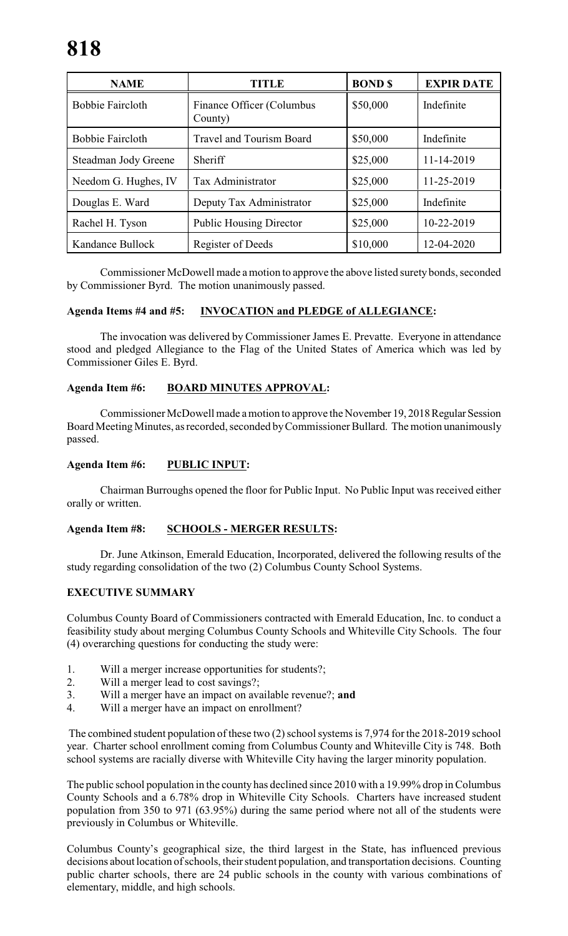| <b>NAME</b>             | TITLE                                | <b>BOND</b> \$ | <b>EXPIR DATE</b> |
|-------------------------|--------------------------------------|----------------|-------------------|
| <b>Bobbie Faircloth</b> | Finance Officer (Columbus<br>County) | \$50,000       | Indefinite        |
| <b>Bobbie Faircloth</b> | <b>Travel and Tourism Board</b>      | \$50,000       | Indefinite        |
| Steadman Jody Greene    | Sheriff                              | \$25,000       | 11-14-2019        |
| Needom G. Hughes, IV    | Tax Administrator                    | \$25,000       | 11-25-2019        |
| Douglas E. Ward         | Deputy Tax Administrator             | \$25,000       | Indefinite        |
| Rachel H. Tyson         | <b>Public Housing Director</b>       | \$25,000       | 10-22-2019        |
| Kandance Bullock        | Register of Deeds                    | \$10,000       | 12-04-2020        |

Commissioner McDowell made a motion to approve the above listed surety bonds, seconded by Commissioner Byrd. The motion unanimously passed.

### **Agenda Items #4 and #5: INVOCATION and PLEDGE of ALLEGIANCE:**

The invocation was delivered by Commissioner James E. Prevatte. Everyone in attendance stood and pledged Allegiance to the Flag of the United States of America which was led by Commissioner Giles E. Byrd.

### **Agenda Item #6: BOARD MINUTES APPROVAL:**

Commissioner McDowell made a motion to approve the November 19, 2018 Regular Session Board Meeting Minutes, as recorded, seconded by Commissioner Bullard. The motion unanimously passed.

### **Agenda Item #6: PUBLIC INPUT:**

Chairman Burroughs opened the floor for Public Input. No Public Input was received either orally or written.

#### **Agenda Item #8: SCHOOLS - MERGER RESULTS:**

Dr. June Atkinson, Emerald Education, Incorporated, delivered the following results of the study regarding consolidation of the two (2) Columbus County School Systems.

# **EXECUTIVE SUMMARY**

Columbus County Board of Commissioners contracted with Emerald Education, Inc. to conduct a feasibility study about merging Columbus County Schools and Whiteville City Schools. The four (4) overarching questions for conducting the study were:

- 1. Will a merger increase opportunities for students?;
- 2. Will a merger lead to cost savings?;
- 3. Will a merger have an impact on available revenue?; **and**
- 4. Will a merger have an impact on enrollment?

 The combined student population of these two (2) school systems is 7,974 for the 2018-2019 school year. Charter school enrollment coming from Columbus County and Whiteville City is 748. Both school systems are racially diverse with Whiteville City having the larger minority population.

The public school population in the county has declined since 2010 with a 19.99% drop in Columbus County Schools and a 6.78% drop in Whiteville City Schools. Charters have increased student population from 350 to 971 (63.95%) during the same period where not all of the students were previously in Columbus or Whiteville.

Columbus County's geographical size, the third largest in the State, has influenced previous decisions about location of schools, their student population, and transportation decisions. Counting public charter schools, there are 24 public schools in the county with various combinations of elementary, middle, and high schools.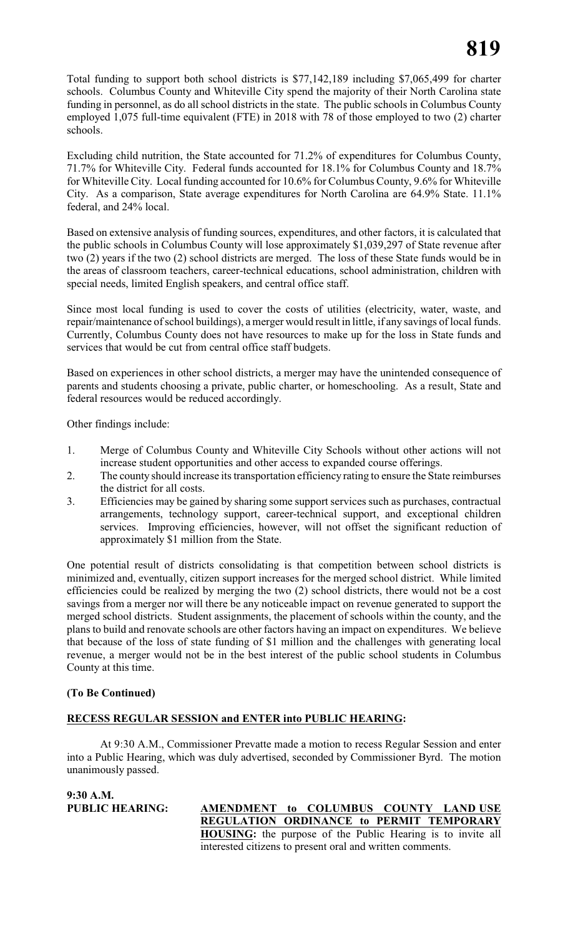Total funding to support both school districts is \$77,142,189 including \$7,065,499 for charter schools. Columbus County and Whiteville City spend the majority of their North Carolina state funding in personnel, as do all school districts in the state. The public schools in Columbus County employed 1,075 full-time equivalent (FTE) in 2018 with 78 of those employed to two (2) charter schools.

Excluding child nutrition, the State accounted for 71.2% of expenditures for Columbus County, 71.7% for Whiteville City. Federal funds accounted for 18.1% for Columbus County and 18.7% for Whiteville City. Local funding accounted for 10.6% for Columbus County, 9.6% for Whiteville City. As a comparison, State average expenditures for North Carolina are 64.9% State. 11.1% federal, and 24% local.

Based on extensive analysis of funding sources, expenditures, and other factors, it is calculated that the public schools in Columbus County will lose approximately \$1,039,297 of State revenue after two (2) years if the two (2) school districts are merged. The loss of these State funds would be in the areas of classroom teachers, career-technical educations, school administration, children with special needs, limited English speakers, and central office staff.

Since most local funding is used to cover the costs of utilities (electricity, water, waste, and repair/maintenance of school buildings), a merger would result in little, if any savings of local funds. Currently, Columbus County does not have resources to make up for the loss in State funds and services that would be cut from central office staff budgets.

Based on experiences in other school districts, a merger may have the unintended consequence of parents and students choosing a private, public charter, or homeschooling. As a result, State and federal resources would be reduced accordingly.

Other findings include:

- 1. Merge of Columbus County and Whiteville City Schools without other actions will not increase student opportunities and other access to expanded course offerings.
- 2. The county should increase its transportation efficiency rating to ensure the State reimburses the district for all costs.
- 3. Efficiencies may be gained by sharing some support services such as purchases, contractual arrangements, technology support, career-technical support, and exceptional children services. Improving efficiencies, however, will not offset the significant reduction of approximately \$1 million from the State.

One potential result of districts consolidating is that competition between school districts is minimized and, eventually, citizen support increases for the merged school district. While limited efficiencies could be realized by merging the two (2) school districts, there would not be a cost savings from a merger nor will there be any noticeable impact on revenue generated to support the merged school districts. Student assignments, the placement of schools within the county, and the plans to build and renovate schools are other factors having an impact on expenditures. We believe that because of the loss of state funding of \$1 million and the challenges with generating local revenue, a merger would not be in the best interest of the public school students in Columbus County at this time.

# **(To Be Continued)**

# **RECESS REGULAR SESSION and ENTER into PUBLIC HEARING:**

At 9:30 A.M., Commissioner Prevatte made a motion to recess Regular Session and enter into a Public Hearing, which was duly advertised, seconded by Commissioner Byrd. The motion unanimously passed.

**9:30 A.M.**

### **PUBLIC HEARING: AMENDMENT to COLUMBUS COUNTY LAND USE REGULATION ORDINANCE to PERMIT TEMPORARY HOUSING:** the purpose of the Public Hearing is to invite all interested citizens to present oral and written comments.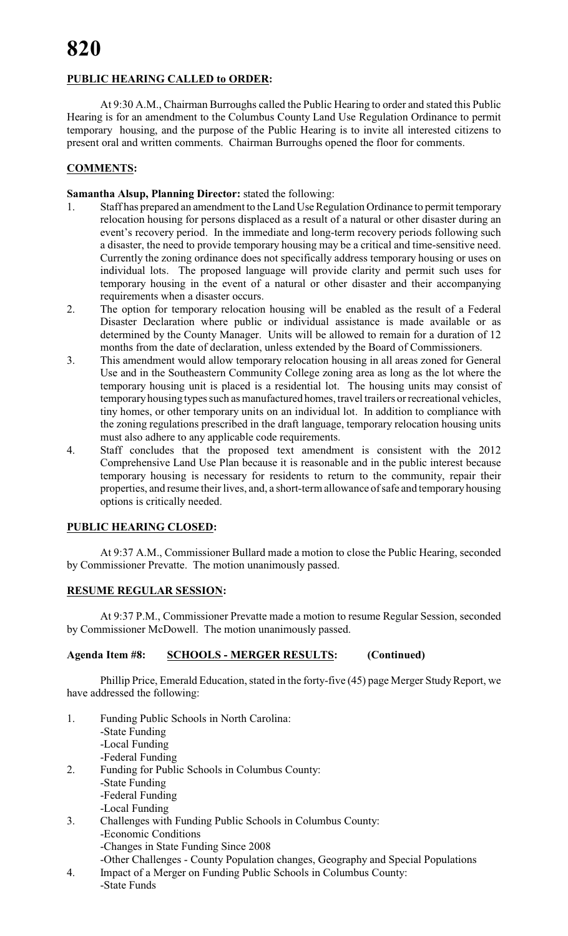# **PUBLIC HEARING CALLED to ORDER:**

At 9:30 A.M., Chairman Burroughs called the Public Hearing to order and stated this Public Hearing is for an amendment to the Columbus County Land Use Regulation Ordinance to permit temporary housing, and the purpose of the Public Hearing is to invite all interested citizens to present oral and written comments. Chairman Burroughs opened the floor for comments.

# **COMMENTS:**

#### **Samantha Alsup, Planning Director:** stated the following:

- 1. Staff has prepared an amendment to the Land Use Regulation Ordinance to permit temporary relocation housing for persons displaced as a result of a natural or other disaster during an event's recovery period. In the immediate and long-term recovery periods following such a disaster, the need to provide temporary housing may be a critical and time-sensitive need. Currently the zoning ordinance does not specifically address temporary housing or uses on individual lots. The proposed language will provide clarity and permit such uses for temporary housing in the event of a natural or other disaster and their accompanying requirements when a disaster occurs.
- 2. The option for temporary relocation housing will be enabled as the result of a Federal Disaster Declaration where public or individual assistance is made available or as determined by the County Manager. Units will be allowed to remain for a duration of 12 months from the date of declaration, unless extended by the Board of Commissioners.
- 3. This amendment would allow temporary relocation housing in all areas zoned for General Use and in the Southeastern Community College zoning area as long as the lot where the temporary housing unit is placed is a residential lot. The housing units may consist of temporary housing types such as manufactured homes, travel trailers or recreational vehicles, tiny homes, or other temporary units on an individual lot. In addition to compliance with the zoning regulations prescribed in the draft language, temporary relocation housing units must also adhere to any applicable code requirements.
- 4. Staff concludes that the proposed text amendment is consistent with the 2012 Comprehensive Land Use Plan because it is reasonable and in the public interest because temporary housing is necessary for residents to return to the community, repair their properties, and resume their lives, and, a short-term allowance of safe and temporary housing options is critically needed.

#### **PUBLIC HEARING CLOSED:**

At 9:37 A.M., Commissioner Bullard made a motion to close the Public Hearing, seconded by Commissioner Prevatte. The motion unanimously passed.

#### **RESUME REGULAR SESSION:**

At 9:37 P.M., Commissioner Prevatte made a motion to resume Regular Session, seconded by Commissioner McDowell. The motion unanimously passed.

# **Agenda Item #8: SCHOOLS - MERGER RESULTS: (Continued)**

Phillip Price, Emerald Education, stated in the forty-five (45) page Merger Study Report, we have addressed the following:

- 1. Funding Public Schools in North Carolina: -State Funding -Local Funding -Federal Funding 2. Funding for Public Schools in Columbus County: -State Funding -Federal Funding -Local Funding
- 3. Challenges with Funding Public Schools in Columbus County: -Economic Conditions
	- -Changes in State Funding Since 2008
- -Other Challenges County Population changes, Geography and Special Populations
- 4. Impact of a Merger on Funding Public Schools in Columbus County: -State Funds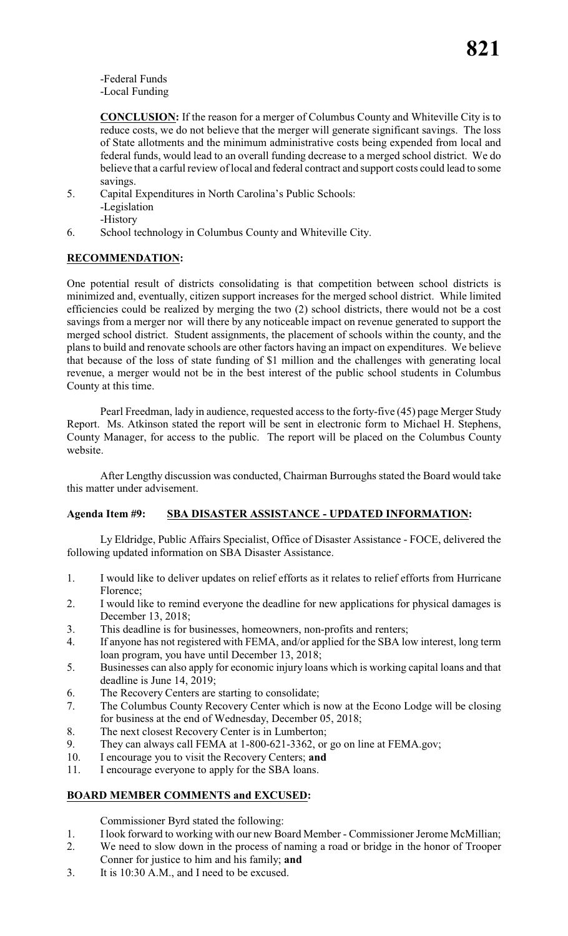-Federal Funds -Local Funding

**CONCLUSION:** If the reason for a merger of Columbus County and Whiteville City is to reduce costs, we do not believe that the merger will generate significant savings. The loss of State allotments and the minimum administrative costs being expended from local and federal funds, would lead to an overall funding decrease to a merged school district. We do believe that a carful review of local and federal contract and support costs could lead to some savings.

5. Capital Expenditures in North Carolina's Public Schools: -Legislation -History

6. School technology in Columbus County and Whiteville City.

# **RECOMMENDATION:**

One potential result of districts consolidating is that competition between school districts is minimized and, eventually, citizen support increases for the merged school district. While limited efficiencies could be realized by merging the two (2) school districts, there would not be a cost savings from a merger nor will there by any noticeable impact on revenue generated to support the merged school district. Student assignments, the placement of schools within the county, and the plans to build and renovate schools are other factors having an impact on expenditures. We believe that because of the loss of state funding of \$1 million and the challenges with generating local revenue, a merger would not be in the best interest of the public school students in Columbus County at this time.

Pearl Freedman, lady in audience, requested access to the forty-five (45) page Merger Study Report. Ms. Atkinson stated the report will be sent in electronic form to Michael H. Stephens, County Manager, for access to the public. The report will be placed on the Columbus County website.

After Lengthy discussion was conducted, Chairman Burroughs stated the Board would take this matter under advisement.

# **Agenda Item #9: SBA DISASTER ASSISTANCE - UPDATED INFORMATION:**

Ly Eldridge, Public Affairs Specialist, Office of Disaster Assistance - FOCE, delivered the following updated information on SBA Disaster Assistance.

- 1. I would like to deliver updates on relief efforts as it relates to relief efforts from Hurricane Florence;
- 2. I would like to remind everyone the deadline for new applications for physical damages is December 13, 2018;
- 3. This deadline is for businesses, homeowners, non-profits and renters;
- 4. If anyone has not registered with FEMA, and/or applied for the SBA low interest, long term loan program, you have until December 13, 2018;
- 5. Businesses can also apply for economic injury loans which is working capital loans and that deadline is June 14, 2019;
- 6. The Recovery Centers are starting to consolidate;
- 7. The Columbus County Recovery Center which is now at the Econo Lodge will be closing for business at the end of Wednesday, December 05, 2018;
- 8. The next closest Recovery Center is in Lumberton;
- 9. They can always call FEMA at 1-800-621-3362, or go on line at FEMA.gov;
- 10. I encourage you to visit the Recovery Centers; **and**
- 11. I encourage everyone to apply for the SBA loans.

# **BOARD MEMBER COMMENTS and EXCUSED:**

Commissioner Byrd stated the following:

- 1. I look forward to working with our new Board Member Commissioner Jerome McMillian;
- 2. We need to slow down in the process of naming a road or bridge in the honor of Trooper Conner for justice to him and his family; **and**
- 3. It is 10:30 A.M., and I need to be excused.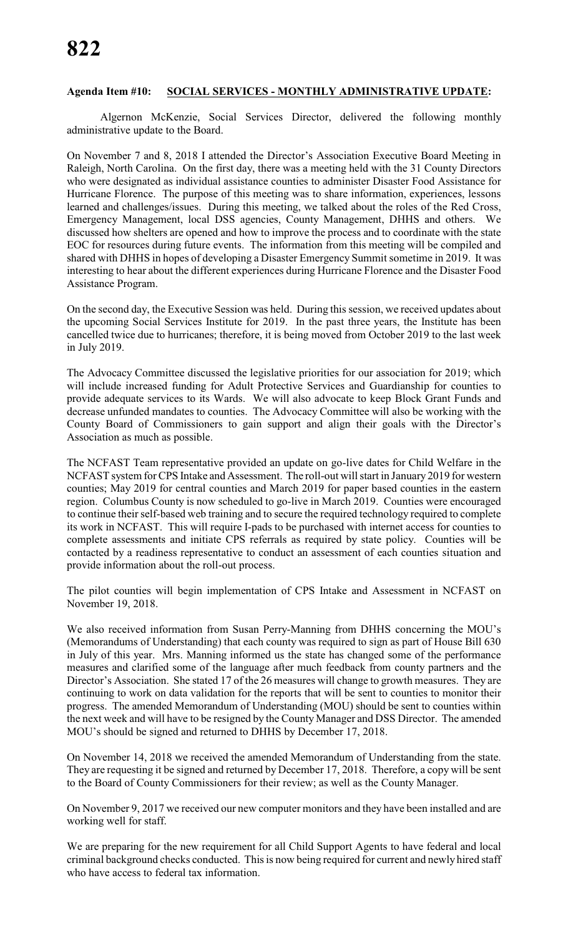#### **Agenda Item #10: SOCIAL SERVICES - MONTHLY ADMINISTRATIVE UPDATE:**

Algernon McKenzie, Social Services Director, delivered the following monthly administrative update to the Board.

On November 7 and 8, 2018 I attended the Director's Association Executive Board Meeting in Raleigh, North Carolina. On the first day, there was a meeting held with the 31 County Directors who were designated as individual assistance counties to administer Disaster Food Assistance for Hurricane Florence. The purpose of this meeting was to share information, experiences, lessons learned and challenges/issues. During this meeting, we talked about the roles of the Red Cross, Emergency Management, local DSS agencies, County Management, DHHS and others. We discussed how shelters are opened and how to improve the process and to coordinate with the state EOC for resources during future events. The information from this meeting will be compiled and shared with DHHS in hopes of developing a Disaster Emergency Summit sometime in 2019. It was interesting to hear about the different experiences during Hurricane Florence and the Disaster Food Assistance Program.

On the second day, the Executive Session was held. During this session, we received updates about the upcoming Social Services Institute for 2019. In the past three years, the Institute has been cancelled twice due to hurricanes; therefore, it is being moved from October 2019 to the last week in July 2019.

The Advocacy Committee discussed the legislative priorities for our association for 2019; which will include increased funding for Adult Protective Services and Guardianship for counties to provide adequate services to its Wards. We will also advocate to keep Block Grant Funds and decrease unfunded mandates to counties. The Advocacy Committee will also be working with the County Board of Commissioners to gain support and align their goals with the Director's Association as much as possible.

The NCFAST Team representative provided an update on go-live dates for Child Welfare in the NCFAST system for CPS Intake and Assessment. The roll-out will start in January 2019 for western counties; May 2019 for central counties and March 2019 for paper based counties in the eastern region. Columbus County is now scheduled to go-live in March 2019. Counties were encouraged to continue their self-based web training and to secure the required technology required to complete its work in NCFAST. This will require I-pads to be purchased with internet access for counties to complete assessments and initiate CPS referrals as required by state policy. Counties will be contacted by a readiness representative to conduct an assessment of each counties situation and provide information about the roll-out process.

The pilot counties will begin implementation of CPS Intake and Assessment in NCFAST on November 19, 2018.

We also received information from Susan Perry-Manning from DHHS concerning the MOU's (Memorandums of Understanding) that each county was required to sign as part of House Bill 630 in July of this year. Mrs. Manning informed us the state has changed some of the performance measures and clarified some of the language after much feedback from county partners and the Director's Association. She stated 17 of the 26 measures will change to growth measures. They are continuing to work on data validation for the reports that will be sent to counties to monitor their progress. The amended Memorandum of Understanding (MOU) should be sent to counties within the next week and will have to be resigned by the County Manager and DSS Director. The amended MOU's should be signed and returned to DHHS by December 17, 2018.

On November 14, 2018 we received the amended Memorandum of Understanding from the state. They are requesting it be signed and returned by December 17, 2018. Therefore, a copy will be sent to the Board of County Commissioners for their review; as well as the County Manager.

On November 9, 2017 we received our new computer monitors and they have been installed and are working well for staff.

We are preparing for the new requirement for all Child Support Agents to have federal and local criminal background checks conducted. This is now being required for current and newly hired staff who have access to federal tax information.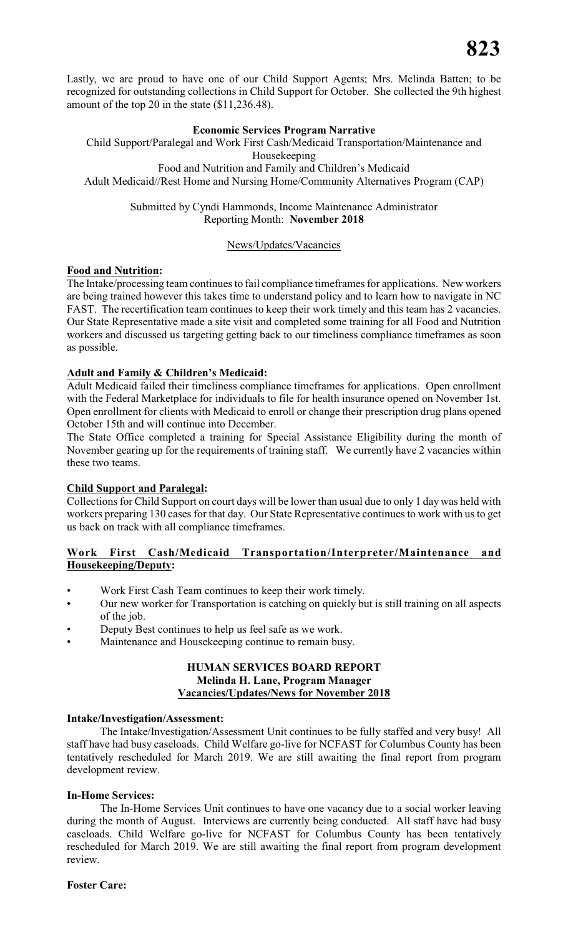Lastly, we are proud to have one of our Child Support Agents; Mrs. Melinda Batten; to be recognized for outstanding collections in Child Support for October. She collected the 9th highest amount of the top 20 in the state (\$11,236.48).

#### **Economic Services Program Narrative**

Child Support/Paralegal and Work First Cash/Medicaid Transportation/Maintenance and Housekeeping Food and Nutrition and Family and Children's Medicaid Adult Medicaid//Rest Home and Nursing Home/Community Alternatives Program (CAP)

> Submitted by Cyndi Hammonds, Income Maintenance Administrator Reporting Month: **November 2018**

#### News/Updates/Vacancies

#### **Food and Nutrition:**

The Intake/processing team continues to fail compliance timeframes for applications. New workers are being trained however this takes time to understand policy and to learn how to navigate in NC FAST. The recertification team continues to keep their work timely and this team has 2 vacancies. Our State Representative made a site visit and completed some training for all Food and Nutrition workers and discussed us targeting getting back to our timeliness compliance timeframes as soon as possible.

#### **Adult and Family & Children's Medicaid:**

Adult Medicaid failed their timeliness compliance timeframes for applications. Open enrollment with the Federal Marketplace for individuals to file for health insurance opened on November 1st. Open enrollment for clients with Medicaid to enroll or change their prescription drug plans opened October 15th and will continue into December.

The State Office completed a training for Special Assistance Eligibility during the month of November gearing up for the requirements of training staff. We currently have 2 vacancies within these two teams.

#### **Child Support and Paralegal:**

Collections for Child Support on court days will be lower than usual due to only 1 day was held with workers preparing 130 cases for that day. Our State Representative continues to work with us to get us back on track with all compliance timeframes.

### **Work First Cash/Medicaid Transportation/Interpreter/Maintenance and Housekeeping/Deputy:**

- Work First Cash Team continues to keep their work timely.
- Our new worker for Transportation is catching on quickly but is still training on all aspects of the job.
- Deputy Best continues to help us feel safe as we work.
- Maintenance and Housekeeping continue to remain busy.

#### **HUMAN SERVICES BOARD REPORT Melinda H. Lane, Program Manager Vacancies/Updates/News for November 2018**

#### **Intake/Investigation/Assessment:**

The Intake/Investigation/Assessment Unit continues to be fully staffed and very busy! All staff have had busy caseloads. Child Welfare go-live for NCFAST for Columbus County has been tentatively rescheduled for March 2019. We are still awaiting the final report from program development review.

#### **In-Home Services:**

The In-Home Services Unit continues to have one vacancy due to a social worker leaving during the month of August. Interviews are currently being conducted. All staff have had busy caseloads. Child Welfare go-live for NCFAST for Columbus County has been tentatively rescheduled for March 2019. We are still awaiting the final report from program development review.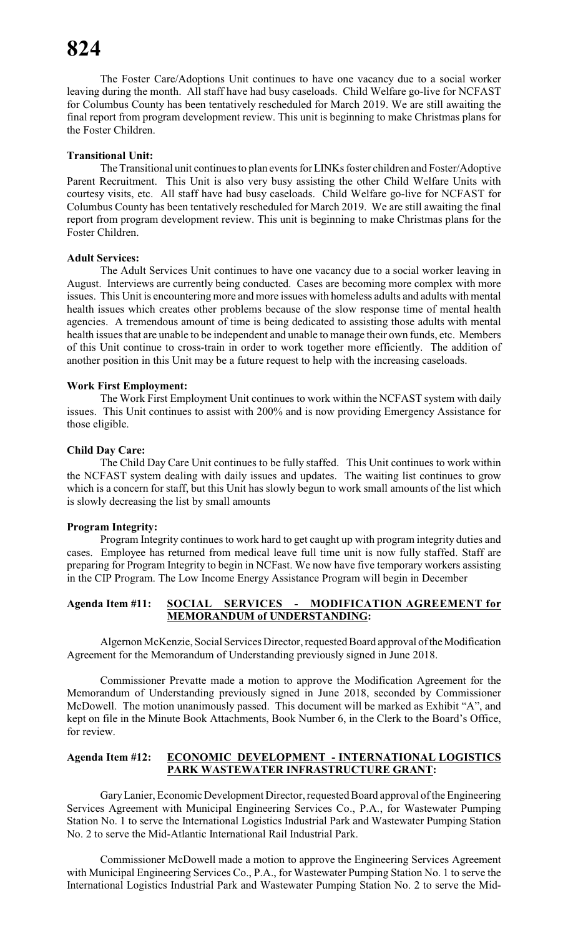The Foster Care/Adoptions Unit continues to have one vacancy due to a social worker leaving during the month. All staff have had busy caseloads. Child Welfare go-live for NCFAST for Columbus County has been tentatively rescheduled for March 2019. We are still awaiting the final report from program development review. This unit is beginning to make Christmas plans for the Foster Children.

#### **Transitional Unit:**

The Transitional unit continues to plan events for LINKs foster children and Foster/Adoptive Parent Recruitment. This Unit is also very busy assisting the other Child Welfare Units with courtesy visits, etc. All staff have had busy caseloads. Child Welfare go-live for NCFAST for Columbus County has been tentatively rescheduled for March 2019. We are still awaiting the final report from program development review. This unit is beginning to make Christmas plans for the Foster Children.

#### **Adult Services:**

The Adult Services Unit continues to have one vacancy due to a social worker leaving in August. Interviews are currently being conducted. Cases are becoming more complex with more issues. This Unit is encountering more and more issues with homeless adults and adults with mental health issues which creates other problems because of the slow response time of mental health agencies. A tremendous amount of time is being dedicated to assisting those adults with mental health issues that are unable to be independent and unable to manage their own funds, etc. Members of this Unit continue to cross-train in order to work together more efficiently. The addition of another position in this Unit may be a future request to help with the increasing caseloads.

#### **Work First Employment:**

The Work First Employment Unit continues to work within the NCFAST system with daily issues. This Unit continues to assist with 200% and is now providing Emergency Assistance for those eligible.

#### **Child Day Care:**

The Child Day Care Unit continues to be fully staffed. This Unit continues to work within the NCFAST system dealing with daily issues and updates. The waiting list continues to grow which is a concern for staff, but this Unit has slowly begun to work small amounts of the list which is slowly decreasing the list by small amounts

#### **Program Integrity:**

Program Integrity continues to work hard to get caught up with program integrity duties and cases. Employee has returned from medical leave full time unit is now fully staffed. Staff are preparing for Program Integrity to begin in NCFast. We now have five temporary workers assisting in the CIP Program. The Low Income Energy Assistance Program will begin in December

### **Agenda Item #11: SOCIAL SERVICES - MODIFICATION AGREEMENT for MEMORANDUM of UNDERSTANDING:**

Algernon McKenzie, Social Services Director, requested Board approval of the Modification Agreement for the Memorandum of Understanding previously signed in June 2018.

Commissioner Prevatte made a motion to approve the Modification Agreement for the Memorandum of Understanding previously signed in June 2018, seconded by Commissioner McDowell. The motion unanimously passed. This document will be marked as Exhibit "A", and kept on file in the Minute Book Attachments, Book Number 6, in the Clerk to the Board's Office, for review.

#### **Agenda Item #12: ECONOMIC DEVELOPMENT - INTERNATIONAL LOGISTICS PARK WASTEWATER INFRASTRUCTURE GRANT:**

Gary Lanier, Economic Development Director, requested Board approval of the Engineering Services Agreement with Municipal Engineering Services Co., P.A., for Wastewater Pumping Station No. 1 to serve the International Logistics Industrial Park and Wastewater Pumping Station No. 2 to serve the Mid-Atlantic International Rail Industrial Park.

Commissioner McDowell made a motion to approve the Engineering Services Agreement with Municipal Engineering Services Co., P.A., for Wastewater Pumping Station No. 1 to serve the International Logistics Industrial Park and Wastewater Pumping Station No. 2 to serve the Mid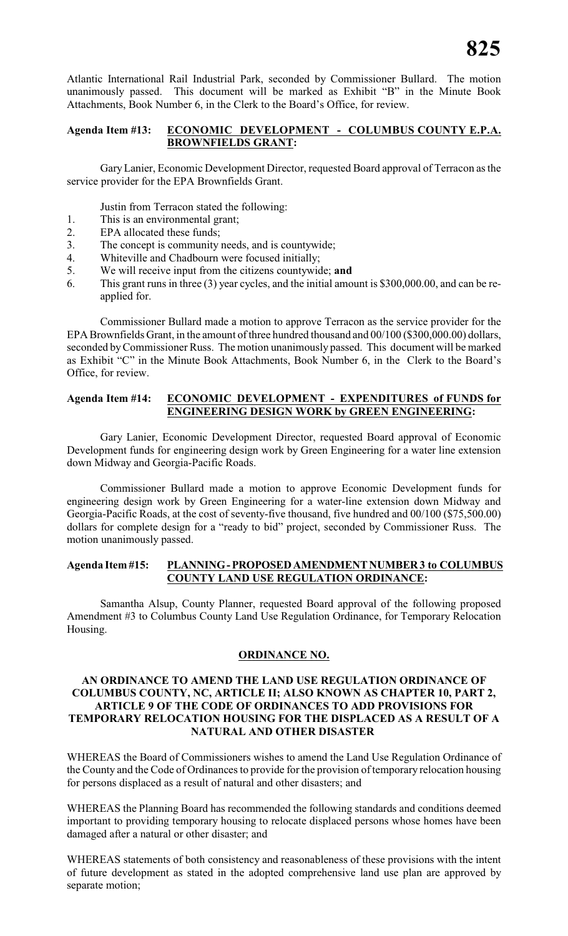Atlantic International Rail Industrial Park, seconded by Commissioner Bullard. The motion unanimously passed. This document will be marked as Exhibit "B" in the Minute Book Attachments, Book Number 6, in the Clerk to the Board's Office, for review.

## **Agenda Item #13: ECONOMIC DEVELOPMENT - COLUMBUS COUNTY E.P.A. BROWNFIELDS GRANT:**

Gary Lanier, Economic Development Director, requested Board approval of Terracon as the service provider for the EPA Brownfields Grant.

Justin from Terracon stated the following:

- 1. This is an environmental grant;
- 2. EPA allocated these funds;
- 3. The concept is community needs, and is countywide;
- 4. Whiteville and Chadbourn were focused initially;
- 5. We will receive input from the citizens countywide; **and**
- 6. This grant runs in three (3) year cycles, and the initial amount is \$300,000.00, and can be reapplied for.

Commissioner Bullard made a motion to approve Terracon as the service provider for the EPA Brownfields Grant, in the amount of three hundred thousand and 00/100 (\$300,000.00) dollars, seconded by Commissioner Russ. The motion unanimously passed. This document will be marked as Exhibit "C" in the Minute Book Attachments, Book Number 6, in the Clerk to the Board's Office, for review.

#### **Agenda Item #14: ECONOMIC DEVELOPMENT - EXPENDITURES of FUNDS for ENGINEERING DESIGN WORK by GREEN ENGINEERING:**

Gary Lanier, Economic Development Director, requested Board approval of Economic Development funds for engineering design work by Green Engineering for a water line extension down Midway and Georgia-Pacific Roads.

Commissioner Bullard made a motion to approve Economic Development funds for engineering design work by Green Engineering for a water-line extension down Midway and Georgia-Pacific Roads, at the cost of seventy-five thousand, five hundred and 00/100 (\$75,500.00) dollars for complete design for a "ready to bid" project, seconded by Commissioner Russ. The motion unanimously passed.

#### **Agenda Item #15: PLANNING - PROPOSED AMENDMENT NUMBER 3 to COLUMBUS COUNTY LAND USE REGULATION ORDINANCE:**

Samantha Alsup, County Planner, requested Board approval of the following proposed Amendment #3 to Columbus County Land Use Regulation Ordinance, for Temporary Relocation Housing.

#### **ORDINANCE NO.**

#### **AN ORDINANCE TO AMEND THE LAND USE REGULATION ORDINANCE OF COLUMBUS COUNTY, NC, ARTICLE II; ALSO KNOWN AS CHAPTER 10, PART 2, ARTICLE 9 OF THE CODE OF ORDINANCES TO ADD PROVISIONS FOR TEMPORARY RELOCATION HOUSING FOR THE DISPLACED AS A RESULT OF A NATURAL AND OTHER DISASTER**

WHEREAS the Board of Commissioners wishes to amend the Land Use Regulation Ordinance of the County and the Code of Ordinances to provide for the provision of temporary relocation housing for persons displaced as a result of natural and other disasters; and

WHEREAS the Planning Board has recommended the following standards and conditions deemed important to providing temporary housing to relocate displaced persons whose homes have been damaged after a natural or other disaster; and

WHEREAS statements of both consistency and reasonableness of these provisions with the intent of future development as stated in the adopted comprehensive land use plan are approved by separate motion;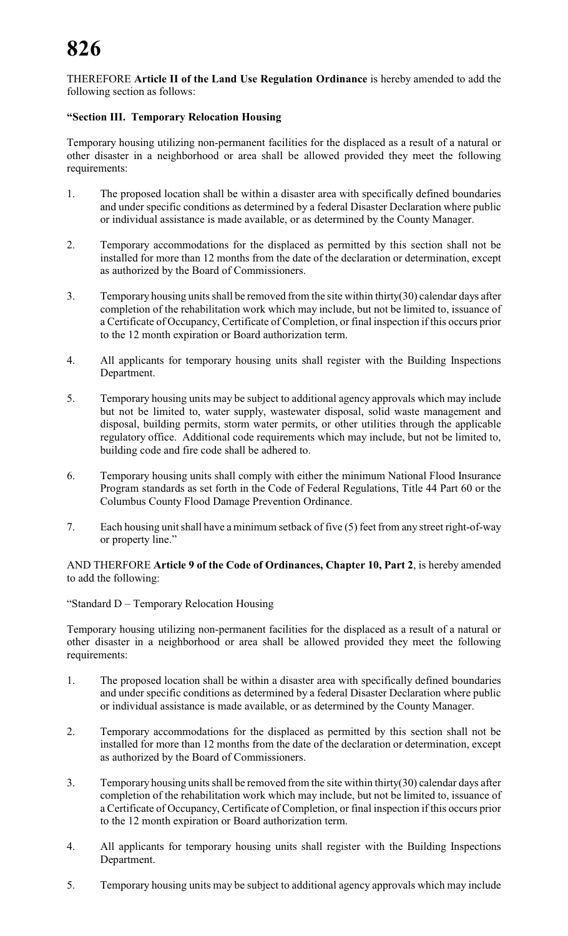THEREFORE **Article II of the Land Use Regulation Ordinance** is hereby amended to add the following section as follows:

#### **"Section III. Temporary Relocation Housing**

Temporary housing utilizing non-permanent facilities for the displaced as a result of a natural or other disaster in a neighborhood or area shall be allowed provided they meet the following requirements:

- 1. The proposed location shall be within a disaster area with specifically defined boundaries and under specific conditions as determined by a federal Disaster Declaration where public or individual assistance is made available, or as determined by the County Manager.
- 2. Temporary accommodations for the displaced as permitted by this section shall not be installed for more than 12 months from the date of the declaration or determination, except as authorized by the Board of Commissioners.
- 3. Temporary housing units shall be removed from the site within thirty(30) calendar days after completion of the rehabilitation work which may include, but not be limited to, issuance of a Certificate of Occupancy, Certificate of Completion, or final inspection if this occurs prior to the 12 month expiration or Board authorization term.
- 4. All applicants for temporary housing units shall register with the Building Inspections Department.
- 5. Temporary housing units may be subject to additional agency approvals which may include but not be limited to, water supply, wastewater disposal, solid waste management and disposal, building permits, storm water permits, or other utilities through the applicable regulatory office. Additional code requirements which may include, but not be limited to, building code and fire code shall be adhered to.
- 6. Temporary housing units shall comply with either the minimum National Flood Insurance Program standards as set forth in the Code of Federal Regulations, Title 44 Part 60 or the Columbus County Flood Damage Prevention Ordinance.
- 7. Each housing unit shall have a minimum setback of five (5) feet from any street right-of-way or property line."

AND THERFORE **Article 9 of the Code of Ordinances, Chapter 10, Part 2**, is hereby amended to add the following:

"Standard D – Temporary Relocation Housing

Temporary housing utilizing non-permanent facilities for the displaced as a result of a natural or other disaster in a neighborhood or area shall be allowed provided they meet the following requirements:

- 1. The proposed location shall be within a disaster area with specifically defined boundaries and under specific conditions as determined by a federal Disaster Declaration where public or individual assistance is made available, or as determined by the County Manager.
- 2. Temporary accommodations for the displaced as permitted by this section shall not be installed for more than 12 months from the date of the declaration or determination, except as authorized by the Board of Commissioners.
- 3. Temporary housing units shall be removed from the site within thirty(30) calendar days after completion of the rehabilitation work which may include, but not be limited to, issuance of a Certificate of Occupancy, Certificate of Completion, or final inspection if this occurs prior to the 12 month expiration or Board authorization term.
- 4. All applicants for temporary housing units shall register with the Building Inspections Department.
- 5. Temporary housing units may be subject to additional agency approvals which may include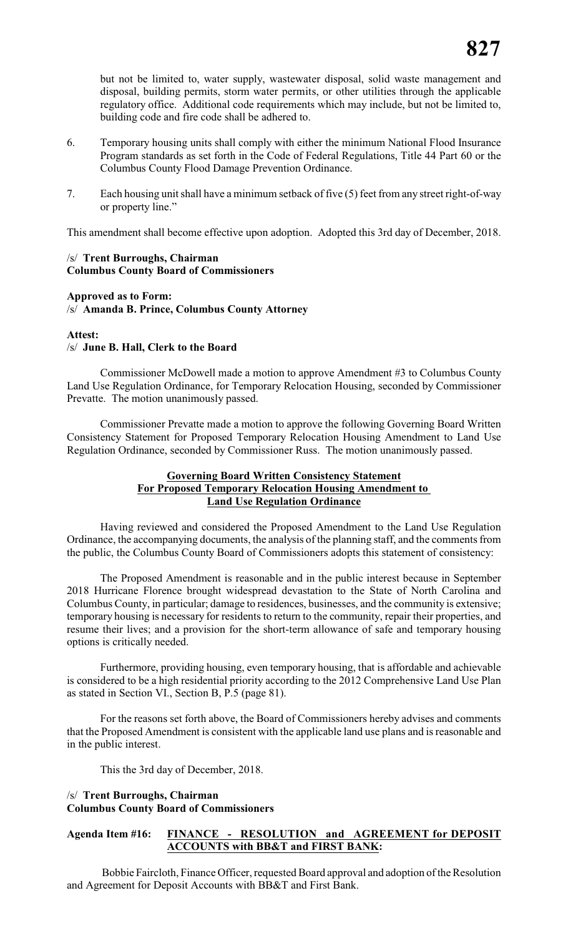but not be limited to, water supply, wastewater disposal, solid waste management and disposal, building permits, storm water permits, or other utilities through the applicable regulatory office. Additional code requirements which may include, but not be limited to, building code and fire code shall be adhered to.

- 6. Temporary housing units shall comply with either the minimum National Flood Insurance Program standards as set forth in the Code of Federal Regulations, Title 44 Part 60 or the Columbus County Flood Damage Prevention Ordinance.
- 7. Each housing unit shall have a minimum setback of five (5) feet from any street right-of-way or property line."

This amendment shall become effective upon adoption. Adopted this 3rd day of December, 2018.

#### /s/ **Trent Burroughs, Chairman Columbus County Board of Commissioners**

#### **Approved as to Form:** /s/ **Amanda B. Prince, Columbus County Attorney**

#### **Attest:**

#### /s/ **June B. Hall, Clerk to the Board**

Commissioner McDowell made a motion to approve Amendment #3 to Columbus County Land Use Regulation Ordinance, for Temporary Relocation Housing, seconded by Commissioner Prevatte. The motion unanimously passed.

Commissioner Prevatte made a motion to approve the following Governing Board Written Consistency Statement for Proposed Temporary Relocation Housing Amendment to Land Use Regulation Ordinance, seconded by Commissioner Russ. The motion unanimously passed.

#### **Governing Board Written Consistency Statement For Proposed Temporary Relocation Housing Amendment to Land Use Regulation Ordinance**

Having reviewed and considered the Proposed Amendment to the Land Use Regulation Ordinance, the accompanying documents, the analysis of the planning staff, and the comments from the public, the Columbus County Board of Commissioners adopts this statement of consistency:

The Proposed Amendment is reasonable and in the public interest because in September 2018 Hurricane Florence brought widespread devastation to the State of North Carolina and Columbus County, in particular; damage to residences, businesses, and the community is extensive; temporary housing is necessary for residents to return to the community, repair their properties, and resume their lives; and a provision for the short-term allowance of safe and temporary housing options is critically needed.

Furthermore, providing housing, even temporary housing, that is affordable and achievable is considered to be a high residential priority according to the 2012 Comprehensive Land Use Plan as stated in Section VI., Section B, P.5 (page 81).

For the reasons set forth above, the Board of Commissioners hereby advises and comments that the Proposed Amendment is consistent with the applicable land use plans and is reasonable and in the public interest.

This the 3rd day of December, 2018.

### /s/ **Trent Burroughs, Chairman Columbus County Board of Commissioners**

### **Agenda Item #16: FINANCE - RESOLUTION and AGREEMENT for DEPOSIT ACCOUNTS with BB&T and FIRST BANK:**

Bobbie Faircloth, Finance Officer, requested Board approval and adoption of the Resolution and Agreement for Deposit Accounts with BB&T and First Bank.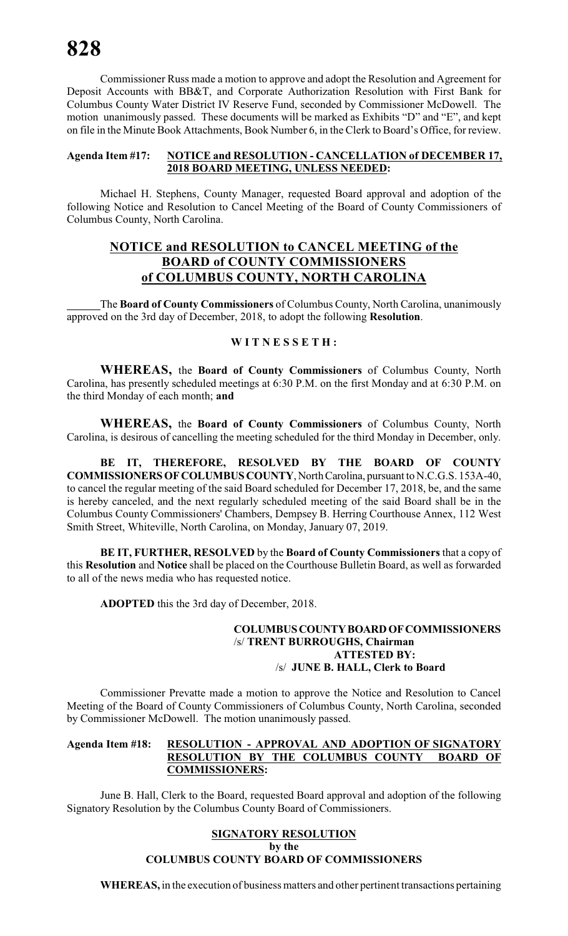Commissioner Russ made a motion to approve and adopt the Resolution and Agreement for Deposit Accounts with BB&T, and Corporate Authorization Resolution with First Bank for Columbus County Water District IV Reserve Fund, seconded by Commissioner McDowell. The motion unanimously passed. These documents will be marked as Exhibits "D" and "E", and kept on file in the Minute Book Attachments, Book Number 6, in the Clerk to Board's Office, for review.

#### **Agenda Item #17: NOTICE and RESOLUTION - CANCELLATION of DECEMBER 17, 2018 BOARD MEETING, UNLESS NEEDED:**

Michael H. Stephens, County Manager, requested Board approval and adoption of the following Notice and Resolution to Cancel Meeting of the Board of County Commissioners of Columbus County, North Carolina.

# **NOTICE and RESOLUTION to CANCEL MEETING of the BOARD of COUNTY COMMISSIONERS of COLUMBUS COUNTY, NORTH CAROLINA**

The **Board of County Commissioners** of Columbus County, North Carolina, unanimously approved on the 3rd day of December, 2018, to adopt the following **Resolution**.

#### **W I T N E S S E T H :**

**WHEREAS,** the **Board of County Commissioners** of Columbus County, North Carolina, has presently scheduled meetings at 6:30 P.M. on the first Monday and at 6:30 P.M. on the third Monday of each month; **and**

**WHEREAS,** the **Board of County Commissioners** of Columbus County, North Carolina, is desirous of cancelling the meeting scheduled for the third Monday in December, only.

**BE IT, THEREFORE, RESOLVED BY THE BOARD OF COUNTY COMMISSIONERS OF COLUMBUS COUNTY**, North Carolina, pursuant to N.C.G.S. 153A-40, to cancel the regular meeting of the said Board scheduled for December 17, 2018, be, and the same is hereby canceled, and the next regularly scheduled meeting of the said Board shall be in the Columbus County Commissioners' Chambers, Dempsey B. Herring Courthouse Annex, 112 West Smith Street, Whiteville, North Carolina, on Monday, January 07, 2019.

**BE IT, FURTHER, RESOLVED** by the **Board of County Commissioners** that a copy of this **Resolution** and **Notice** shall be placed on the Courthouse Bulletin Board, as well as forwarded to all of the news media who has requested notice.

**ADOPTED** this the 3rd day of December, 2018.

#### **COLUMBUS COUNTY BOARD OF COMMISSIONERS** /s/ **TRENT BURROUGHS, Chairman ATTESTED BY:** /s/ **JUNE B. HALL, Clerk to Board**

Commissioner Prevatte made a motion to approve the Notice and Resolution to Cancel Meeting of the Board of County Commissioners of Columbus County, North Carolina, seconded by Commissioner McDowell. The motion unanimously passed.

#### **Agenda Item #18: RESOLUTION - APPROVAL AND ADOPTION OF SIGNATORY RESOLUTION BY THE COLUMBUS COUNTY BOARD OF COMMISSIONERS:**

June B. Hall, Clerk to the Board, requested Board approval and adoption of the following Signatory Resolution by the Columbus County Board of Commissioners.

#### **SIGNATORY RESOLUTION by the COLUMBUS COUNTY BOARD OF COMMISSIONERS**

**WHEREAS,** in the execution of business matters and other pertinent transactions pertaining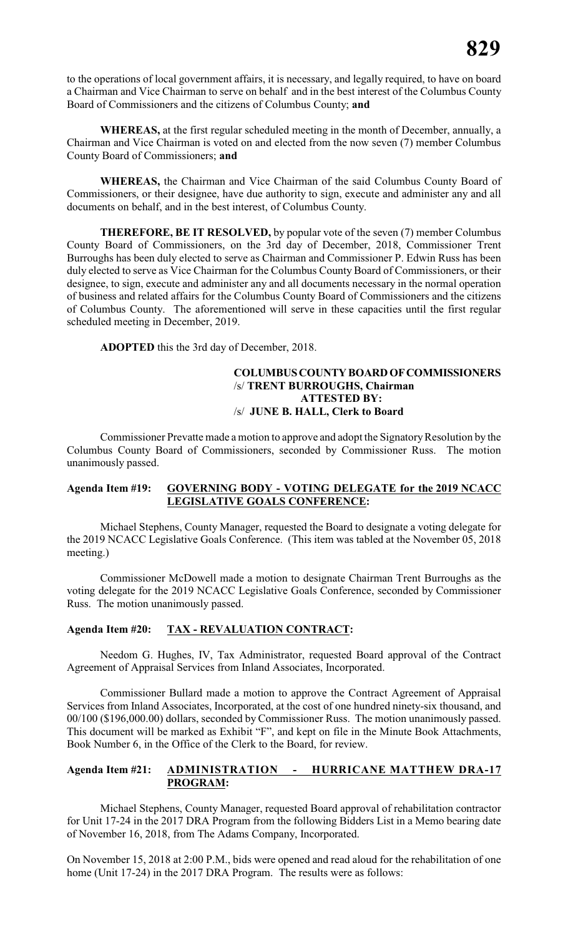to the operations of local government affairs, it is necessary, and legally required, to have on board a Chairman and Vice Chairman to serve on behalf and in the best interest of the Columbus County Board of Commissioners and the citizens of Columbus County; **and**

**WHEREAS,** at the first regular scheduled meeting in the month of December, annually, a Chairman and Vice Chairman is voted on and elected from the now seven (7) member Columbus County Board of Commissioners; **and**

**WHEREAS,** the Chairman and Vice Chairman of the said Columbus County Board of Commissioners, or their designee, have due authority to sign, execute and administer any and all documents on behalf, and in the best interest, of Columbus County.

**THEREFORE, BE IT RESOLVED,** by popular vote of the seven (7) member Columbus County Board of Commissioners, on the 3rd day of December, 2018, Commissioner Trent Burroughs has been duly elected to serve as Chairman and Commissioner P. Edwin Russ has been duly elected to serve as Vice Chairman for the Columbus County Board of Commissioners, or their designee, to sign, execute and administer any and all documents necessary in the normal operation of business and related affairs for the Columbus County Board of Commissioners and the citizens of Columbus County. The aforementioned will serve in these capacities until the first regular scheduled meeting in December, 2019.

**ADOPTED** this the 3rd day of December, 2018.

#### **COLUMBUS COUNTY BOARD OF COMMISSIONERS** /s/ **TRENT BURROUGHS, Chairman ATTESTED BY:** /s/ **JUNE B. HALL, Clerk to Board**

Commissioner Prevatte made a motion to approve and adopt the Signatory Resolution by the Columbus County Board of Commissioners, seconded by Commissioner Russ. The motion unanimously passed.

### **Agenda Item #19: GOVERNING BODY - VOTING DELEGATE for the 2019 NCACC LEGISLATIVE GOALS CONFERENCE:**

Michael Stephens, County Manager, requested the Board to designate a voting delegate for the 2019 NCACC Legislative Goals Conference. (This item was tabled at the November 05, 2018 meeting.)

Commissioner McDowell made a motion to designate Chairman Trent Burroughs as the voting delegate for the 2019 NCACC Legislative Goals Conference, seconded by Commissioner Russ. The motion unanimously passed.

#### **Agenda Item #20: TAX - REVALUATION CONTRACT:**

Needom G. Hughes, IV, Tax Administrator, requested Board approval of the Contract Agreement of Appraisal Services from Inland Associates, Incorporated.

Commissioner Bullard made a motion to approve the Contract Agreement of Appraisal Services from Inland Associates, Incorporated, at the cost of one hundred ninety-six thousand, and 00/100 (\$196,000.00) dollars, seconded by Commissioner Russ. The motion unanimously passed. This document will be marked as Exhibit "F", and kept on file in the Minute Book Attachments, Book Number 6, in the Office of the Clerk to the Board, for review.

#### **Agenda Item #21: ADMINISTRATION - HURRICANE MATTHEW DRA-17 PROGRAM:**

Michael Stephens, County Manager, requested Board approval of rehabilitation contractor for Unit 17-24 in the 2017 DRA Program from the following Bidders List in a Memo bearing date of November 16, 2018, from The Adams Company, Incorporated.

On November 15, 2018 at 2:00 P.M., bids were opened and read aloud for the rehabilitation of one home (Unit 17-24) in the 2017 DRA Program. The results were as follows: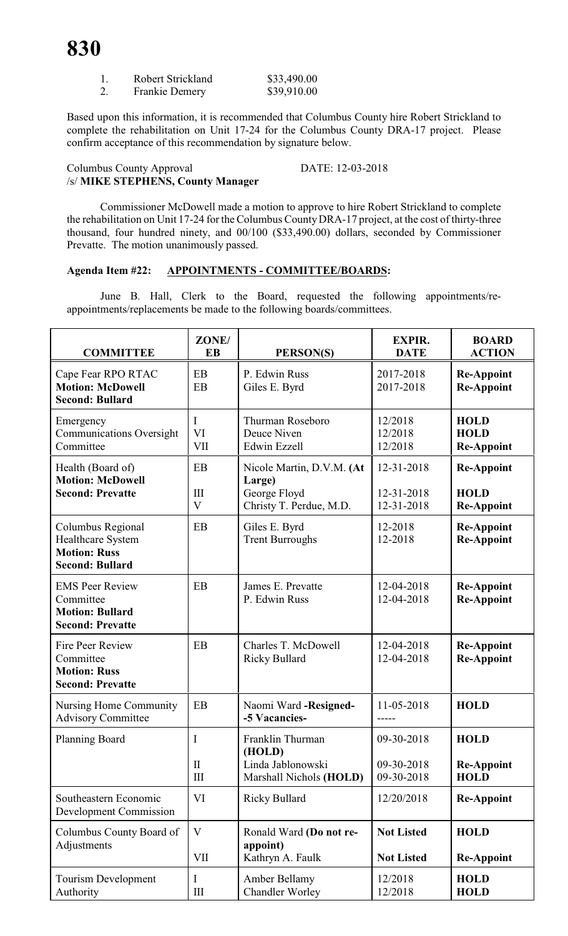| 1. | Robert Strickland     | \$33,490.00 |
|----|-----------------------|-------------|
| 2. | <b>Frankie Demery</b> | \$39,910.00 |

Based upon this information, it is recommended that Columbus County hire Robert Strickland to complete the rehabilitation on Unit 17-24 for the Columbus County DRA-17 project. Please confirm acceptance of this recommendation by signature below.

#### Columbus County Approval DATE: 12-03-2018 /s/ **MIKE STEPHENS, County Manager**

Commissioner McDowell made a motion to approve to hire Robert Strickland to complete the rehabilitation on Unit 17-24 for the Columbus CountyDRA-17 project, at the cost of thirty-three thousand, four hundred ninety, and 00/100 (\$33,490.00) dollars, seconded by Commissioner Prevatte. The motion unanimously passed.

## **Agenda Item #22: APPOINTMENTS - COMMITTEE/BOARDS:**

June B. Hall, Clerk to the Board, requested the following appointments/reappointments/replacements be made to the following boards/committees.

| <b>COMMITTEE</b>                                                                         | ZONE/<br>EB                                      | PERSON(S)                                                                      | <b>EXPIR.</b><br><b>DATE</b>           | <b>BOARD</b><br><b>ACTION</b>                         |
|------------------------------------------------------------------------------------------|--------------------------------------------------|--------------------------------------------------------------------------------|----------------------------------------|-------------------------------------------------------|
| Cape Fear RPO RTAC<br><b>Motion: McDowell</b><br><b>Second: Bullard</b>                  | EB<br>EB                                         | P. Edwin Russ<br>Giles E. Byrd                                                 | 2017-2018<br>2017-2018                 | <b>Re-Appoint</b><br><b>Re-Appoint</b>                |
| Emergency<br><b>Communications Oversight</b><br>Committee                                | I<br>VI<br>VII                                   | Thurman Roseboro<br>Deuce Niven<br>Edwin Ezzell                                | 12/2018<br>12/2018<br>12/2018          | <b>HOLD</b><br><b>HOLD</b><br><b>Re-Appoint</b>       |
| Health (Board of)<br><b>Motion: McDowell</b><br><b>Second: Prevatte</b>                  | EB<br>III<br>$\ensuremath{\mathbf{V}}$           | Nicole Martin, D.V.M. (At<br>Large)<br>George Floyd<br>Christy T. Perdue, M.D. | 12-31-2018<br>12-31-2018<br>12-31-2018 | <b>Re-Appoint</b><br><b>HOLD</b><br><b>Re-Appoint</b> |
| Columbus Regional<br>Healthcare System<br><b>Motion: Russ</b><br><b>Second: Bullard</b>  | EB                                               | Giles E. Byrd<br><b>Trent Burroughs</b>                                        | 12-2018<br>12-2018                     | <b>Re-Appoint</b><br><b>Re-Appoint</b>                |
| <b>EMS Peer Review</b><br>Committee<br><b>Motion: Bullard</b><br><b>Second: Prevatte</b> | EB                                               | James E. Prevatte<br>P. Edwin Russ                                             | 12-04-2018<br>12-04-2018               | <b>Re-Appoint</b><br><b>Re-Appoint</b>                |
| Fire Peer Review<br>Committee<br><b>Motion: Russ</b><br><b>Second: Prevatte</b>          | EB                                               | Charles T. McDowell<br><b>Ricky Bullard</b>                                    | 12-04-2018<br>12-04-2018               | <b>Re-Appoint</b><br><b>Re-Appoint</b>                |
| Nursing Home Community<br><b>Advisory Committee</b>                                      | EB                                               | Naomi Ward - Resigned-<br>-5 Vacancies-                                        | 11-05-2018<br>-----                    | <b>HOLD</b>                                           |
| <b>Planning Board</b>                                                                    | I<br>$\mathbf{I}$<br>$\mathop{\rm III}\nolimits$ | Franklin Thurman<br>(HOLD)<br>Linda Jablonowski<br>Marshall Nichols (HOLD)     | 09-30-2018<br>09-30-2018<br>09-30-2018 | <b>HOLD</b><br><b>Re-Appoint</b><br><b>HOLD</b>       |
| Southeastern Economic<br><b>Development Commission</b>                                   | VI                                               | <b>Ricky Bullard</b>                                                           | 12/20/2018                             | <b>Re-Appoint</b>                                     |
| Columbus County Board of<br>Adjustments                                                  | V<br><b>VII</b>                                  | Ronald Ward (Do not re-<br>appoint)<br>Kathryn A. Faulk                        | <b>Not Listed</b><br><b>Not Listed</b> | <b>HOLD</b><br><b>Re-Appoint</b>                      |
| Tourism Development<br>Authority                                                         | I<br>$\mathop{\rm III}\nolimits$                 | Amber Bellamy<br><b>Chandler Worley</b>                                        | 12/2018<br>12/2018                     | <b>HOLD</b><br><b>HOLD</b>                            |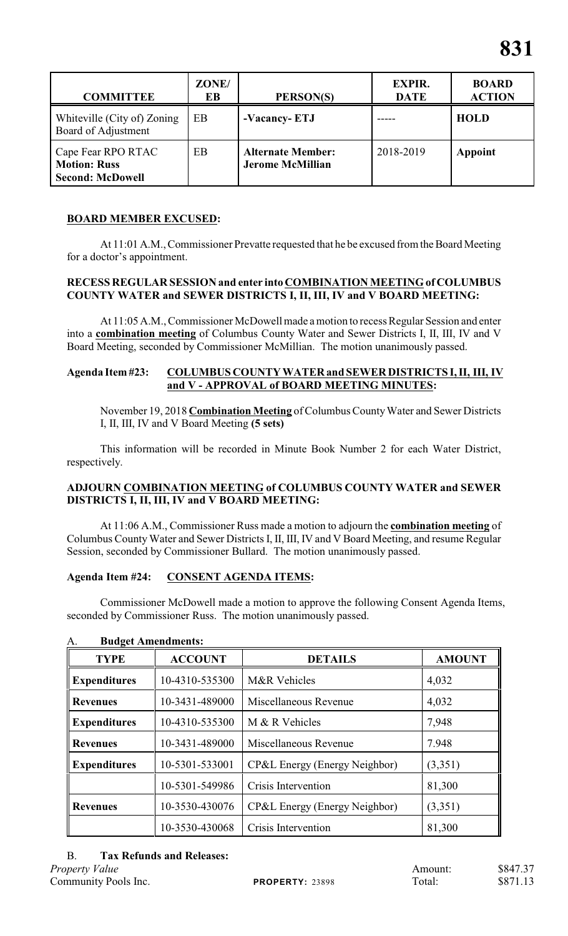| <b>COMMITTEE</b>                                                     | ZONE/<br>EB | PERSON(S)                                           | <b>EXPIR.</b><br><b>DATE</b> | <b>BOARD</b><br><b>ACTION</b> |
|----------------------------------------------------------------------|-------------|-----------------------------------------------------|------------------------------|-------------------------------|
| Whiteville (City of) Zoning<br>Board of Adjustment                   | EB          | -Vacancy-ETJ                                        |                              | <b>HOLD</b>                   |
| Cape Fear RPO RTAC<br><b>Motion: Russ</b><br><b>Second: McDowell</b> | EB          | <b>Alternate Member:</b><br><b>Jerome McMillian</b> | 2018-2019                    | Appoint                       |

# **BOARD MEMBER EXCUSED:**

At 11:01 A.M., Commissioner Prevatte requested that he be excused from the Board Meeting for a doctor's appointment.

#### **RECESS REGULAR SESSION and enter into COMBINATION MEETING of COLUMBUS COUNTY WATER and SEWER DISTRICTS I, II, III, IV and V BOARD MEETING:**

At 11:05 A.M., Commissioner McDowell made a motion to recess Regular Session and enter into a **combination meeting** of Columbus County Water and Sewer Districts I, II, III, IV and V Board Meeting, seconded by Commissioner McMillian. The motion unanimously passed.

#### **Agenda Item #23: COLUMBUS COUNTY WATER and SEWER DISTRICTS I, II, III, IV and V - APPROVAL of BOARD MEETING MINUTES:**

November 19, 2018 **Combination Meeting** of Columbus County Water and Sewer Districts I, II, III, IV and V Board Meeting **(5 sets)**

This information will be recorded in Minute Book Number 2 for each Water District, respectively.

### **ADJOURN COMBINATION MEETING of COLUMBUS COUNTY WATER and SEWER DISTRICTS I, II, III, IV and V BOARD MEETING:**

At 11:06 A.M., Commissioner Russ made a motion to adjourn the **combination meeting** of Columbus County Water and Sewer Districts I, II, III, IV and V Board Meeting, and resume Regular Session, seconded by Commissioner Bullard. The motion unanimously passed.

# **Agenda Item #24: CONSENT AGENDA ITEMS:**

Commissioner McDowell made a motion to approve the following Consent Agenda Items, seconded by Commissioner Russ. The motion unanimously passed.

| <b>TYPE</b>                           | <b>ACCOUNT</b> | <b>DETAILS</b>                | <b>AMOUNT</b> |  |
|---------------------------------------|----------------|-------------------------------|---------------|--|
| <b>Expenditures</b>                   | 10-4310-535300 | <b>M&amp;R</b> Vehicles       | 4,032         |  |
| <b>Revenues</b>                       | 10-3431-489000 | Miscellaneous Revenue         | 4,032         |  |
| <b>Expenditures</b>                   | 10-4310-535300 | M & R Vehicles                | 7,948         |  |
| <b>Revenues</b>                       | 10-3431-489000 | Miscellaneous Revenue         | 7.948         |  |
| 10-5301-533001<br><b>Expenditures</b> |                | CP&L Energy (Energy Neighbor) | (3,351)       |  |
|                                       | 10-5301-549986 | Crisis Intervention           | 81,300        |  |
| 10-3530-430076<br><b>Revenues</b>     |                | CP&L Energy (Energy Neighbor) | (3,351)       |  |
|                                       | 10-3530-430068 | Crisis Intervention           | 81,300        |  |

#### A. **Budget Amendments:**

#### B. **Tax Refunds and Releases:**

*Property Value* \$847.37 Community Pools Inc. **PROPERTY:** 23898 Total: \$871.13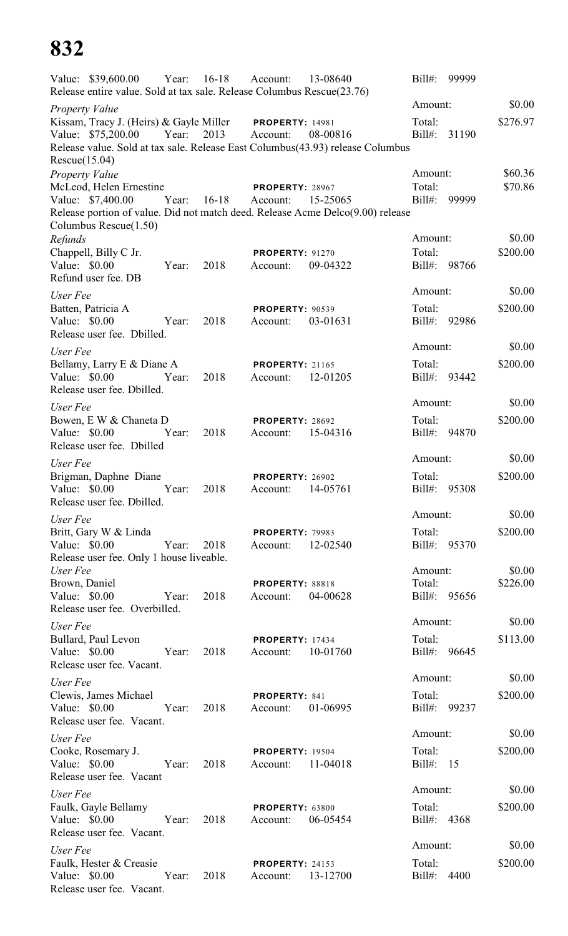|               | Value: \$39,600.00 Year: 16-18 Account:                                          |       |         |                                             | 13-08640                                                                                   | Bill#:                 | 99999 |          |
|---------------|----------------------------------------------------------------------------------|-------|---------|---------------------------------------------|--------------------------------------------------------------------------------------------|------------------------|-------|----------|
|               | Release entire value. Sold at tax sale. Release Columbus Rescue(23.76)           |       |         |                                             |                                                                                            | Amount:                |       | \$0.00   |
|               | <b>Property Value</b><br>Kissam, Tracy J. (Heirs) & Gayle Miller PROPERTY: 14981 |       |         |                                             |                                                                                            | Total:                 |       | \$276.97 |
|               | Value: \$75,200.00                                                               | Year: | 2013    | Account:                                    | 08-00816<br>Release value. Sold at tax sale. Release East Columbus(43.93) release Columbus | Bill#:                 | 31190 |          |
| Rescue(15.04) | <b>Property Value</b>                                                            |       |         |                                             |                                                                                            | Amount:                |       | \$60.36  |
|               | McLeod, Helen Ernestine<br>Value: \$7,400.00                                     | Year: | $16-18$ | PROPERTY: 28967<br>Account:                 | 15-25065<br>Release portion of value. Did not match deed. Release Acme Delco(9.00) release | Total:<br>Bill#: 99999 |       | \$70.86  |
| Refunds       | Columbus Rescue(1.50)                                                            |       |         |                                             |                                                                                            | Amount:                |       | \$0.00   |
| Value: \$0.00 | Chappell, Billy C Jr.<br>Refund user fee. DB                                     | Year: | 2018    | <b>PROPERTY: 91270</b><br>Account:          | 09-04322                                                                                   | Total:<br>Bill#: 98766 |       | \$200.00 |
| User Fee      |                                                                                  |       |         |                                             |                                                                                            | Amount:                |       | \$0.00   |
| Value: \$0.00 | Batten, Patricia A<br>Release user fee. Dbilled.                                 | Year: | 2018    | <b>PROPERTY: 90539</b><br>Account:          | 03-01631                                                                                   | Total:<br>Bill#: 92986 |       | \$200.00 |
| User Fee      |                                                                                  |       |         |                                             |                                                                                            | Amount:                |       | \$0.00   |
| Value: \$0.00 | Bellamy, Larry E & Diane A<br>Release user fee. Dbilled.                         | Year: | 2018    | <b>PROPERTY: 21165</b><br>Account:          | 12-01205                                                                                   | Total:<br>Bill#: 93442 |       | \$200.00 |
| User Fee      |                                                                                  |       |         |                                             |                                                                                            | Amount:                |       | \$0.00   |
| Value: \$0.00 | Bowen, E W & Chaneta D<br>Release user fee. Dbilled                              | Year: | 2018    | PROPERTY: 28692<br>Account:                 | 15-04316                                                                                   | Total:<br>Bill#: 94870 |       | \$200.00 |
| User Fee      |                                                                                  |       |         |                                             |                                                                                            | Amount:                |       | \$0.00   |
|               | Brigman, Daphne Diane<br>Value: $$0.00$<br>Release user fee. Dbilled.            | Year: | 2018    | <b>PROPERTY: 26902</b><br>Account: 14-05761 |                                                                                            | Total:<br>Bill#: 95308 |       | \$200.00 |
| User Fee      |                                                                                  |       |         |                                             |                                                                                            | Amount:                |       | \$0.00   |
| Value: \$0.00 | Britt, Gary W & Linda<br>Release user fee. Only 1 house liveable.                | Year: | 2018    | <b>PROPERTY: 79983</b><br>Account:          | 12-02540                                                                                   | Total:<br>Bill#: 95370 |       | \$200.00 |
| User Fee      |                                                                                  |       |         |                                             |                                                                                            | Amount:                |       | \$0.00   |
| Brown, Daniel | Value: \$0.00<br>Release user fee. Overbilled.                                   | Year: | 2018    | <b>PROPERTY: 88818</b><br>Account:          | 04-00628                                                                                   | Total:<br>Bill#: 95656 |       | \$226.00 |
| User Fee      |                                                                                  |       |         |                                             |                                                                                            | Amount:                |       | \$0.00   |
|               | Bullard, Paul Levon<br>Value: \$0.00<br>Release user fee. Vacant.                | Year: | 2018    | <b>PROPERTY: 17434</b><br>Account:          | 10-01760                                                                                   | Total:<br>Bill#: 96645 |       | \$113.00 |
| User Fee      |                                                                                  |       |         |                                             |                                                                                            | Amount:                |       | \$0.00   |
| Value: \$0.00 | Clewis, James Michael<br>Release user fee. Vacant.                               | Year: | 2018    | <b>PROPERTY: 841</b><br>Account:            | 01-06995                                                                                   | Total:<br>Bill#: 99237 |       | \$200.00 |
| User Fee      |                                                                                  |       |         |                                             |                                                                                            | Amount:                |       | \$0.00   |
| Value: \$0.00 | Cooke, Rosemary J.<br>Release user fee. Vacant                                   | Year: | 2018    | <b>PROPERTY: 19504</b><br>Account:          | 11-04018                                                                                   | Total:<br>Bill#: $15$  |       | \$200.00 |
| User Fee      |                                                                                  |       |         |                                             |                                                                                            | Amount:                |       | \$0.00   |
|               | Faulk, Gayle Bellamy<br>Value: $$0.00$<br>Release user fee. Vacant.              | Year: | 2018    | PROPERTY: 63800<br>Account:                 | 06-05454                                                                                   | Total:<br>Bill#: 4368  |       | \$200.00 |
| User Fee      |                                                                                  |       |         |                                             |                                                                                            | Amount:                |       | \$0.00   |
| Value: \$0.00 | Faulk, Hester & Creasie<br>Release user fee. Vacant.                             | Year: | 2018    | <b>PROPERTY: 24153</b><br>Account:          | 13-12700                                                                                   | Total:<br>Bill#:       | 4400  | \$200.00 |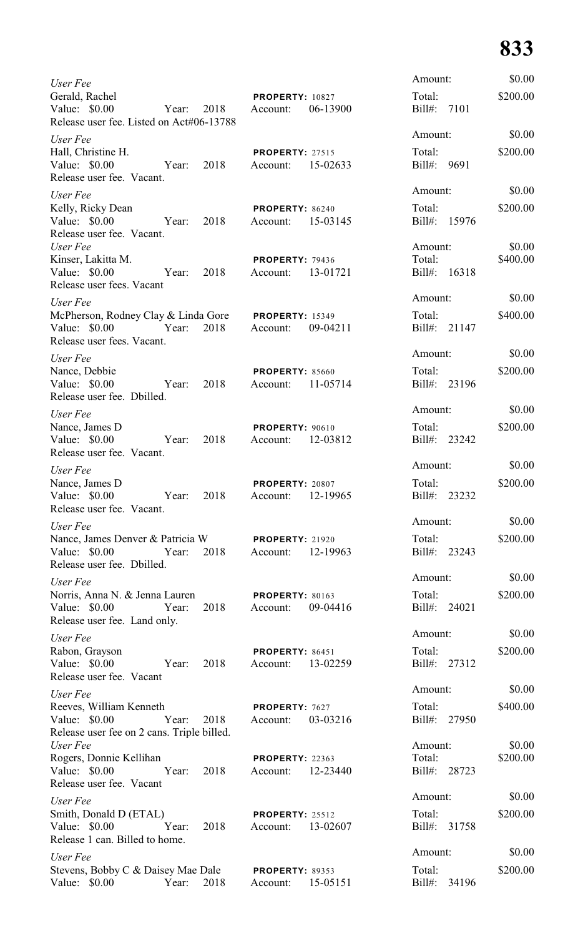| User Fee                                                                                                                 |                                             |          | Amount:                           | \$0.00             |
|--------------------------------------------------------------------------------------------------------------------------|---------------------------------------------|----------|-----------------------------------|--------------------|
| Gerald, Rachel<br>Value: \$0.00<br>Year:                                                                                 | <b>PROPERTY: 10827</b><br>2018<br>Account:  | 06-13900 | Total:<br>Bill#: 7101             | \$200.00           |
| Release user fee. Listed on Act#06-13788                                                                                 |                                             |          | Amount:                           | \$0.00             |
| User Fee<br>Hall, Christine H.<br>Value: \$0.00<br>2018<br>Year:<br>Release user fee. Vacant.                            | <b>PROPERTY: 27515</b><br>Account:          | 15-02633 | Total:<br>Bill#: 9691             | \$200.00           |
| User Fee                                                                                                                 |                                             |          | Amount:                           | \$0.00             |
| Kelly, Ricky Dean<br>Value: \$0.00<br>Year:<br>2018<br>Release user fee. Vacant.                                         | <b>PROPERTY: 86240</b><br>Account:          | 15-03145 | Total:<br>Bill#: 15976            | \$200.00           |
| User Fee<br>Kinser, Lakitta M.<br>Value: \$0.00<br>2018<br>Year:<br>Release user fees. Vacant                            | PROPERTY: 79436<br>Account:                 | 13-01721 | Amount:<br>Total:<br>Bill#: 16318 | \$0.00<br>\$400.00 |
| User Fee                                                                                                                 |                                             |          | Amount:                           | \$0.00             |
| McPherson, Rodney Clay & Linda Gore<br>Value: \$0.00<br>Year:<br>2018<br>Release user fees. Vacant.                      | <b>PROPERTY: 15349</b><br>Account:          | 09-04211 | Total:<br>Bill#: 21147            | \$400.00           |
| User Fee                                                                                                                 |                                             |          | Amount:                           | \$0.00             |
| Nance, Debbie<br>Value: \$0.00<br>2018<br>Year:<br>Release user fee. Dbilled.                                            | <b>PROPERTY: 85660</b><br>Account:          | 11-05714 | Total:<br>Bill#: 23196            | \$200.00           |
| User Fee                                                                                                                 |                                             |          | Amount:                           | \$0.00             |
| Nance, James D<br>Value: \$0.00<br>2018<br>Year:<br>Release user fee. Vacant.                                            | <b>PROPERTY: 90610</b><br>Account:          | 12-03812 | Total:<br>Bill#: 23242            | \$200.00           |
| User Fee                                                                                                                 |                                             |          | Amount:                           | \$0.00             |
| Nance, James D<br>Value: \$0.00 Year: 2018<br>Release user fee. Vacant.                                                  | <b>PROPERTY: 20807</b><br>Account: 12-19965 |          | Total:<br>Bill#: 23232            | \$200.00           |
| User Fee                                                                                                                 |                                             |          | Amount:                           | \$0.00             |
| Nance, James Denver & Patricia W PROPERTY: 21920<br>2018<br>Value: \$0.00<br>Year:<br>Release user fee. Dbilled.         | Account: 12-19963                           |          | Total:<br>Bill#: 23243            | \$200.00           |
| User Fee                                                                                                                 |                                             |          | Amount:                           | \$0.00             |
| Norris, Anna N. & Jenna Lauren <b>PROPERTY</b> : 80163<br>Value: \$0.00<br>2018<br>Year:<br>Release user fee. Land only. | Account:                                    | 09-04416 | Total:<br>Bill#: 24021            | \$200.00           |
| User Fee                                                                                                                 |                                             |          | Amount:                           | \$0.00             |
| Rabon, Grayson<br>Value: \$0.00 Year:<br>2018<br>Release user fee. Vacant                                                | PROPERTY: 86451<br>Account: 13-02259        |          | Total:<br>Bill#: 27312            | \$200.00           |
| User Fee                                                                                                                 |                                             |          | Amount:                           | \$0.00             |
| Reeves, William Kenneth<br>Value: \$0.00<br>Year:<br>2018<br>Release user fee on 2 cans. Triple billed.                  | PROPERTY: 7627<br>Account:                  | 03-03216 | Total:<br>Bill#: 27950            | \$400.00           |
| User Fee                                                                                                                 |                                             |          | Amount:                           | \$0.00             |
| Rogers, Donnie Kellihan<br>Value: \$0.00<br>Year:<br>2018<br>Release user fee. Vacant                                    | <b>PROPERTY: 22363</b><br>Account:          | 12-23440 | Total:<br>Bill#: 28723            | \$200.00           |
| User Fee                                                                                                                 |                                             |          | Amount:                           | \$0.00             |
| Smith, Donald D (ETAL)<br>Year:<br>Value: \$0.00<br>Release 1 can. Billed to home.                                       | <b>PROPERTY: 25512</b><br>2018<br>Account:  | 13-02607 | Total:<br>Bill#: 31758            | \$200.00           |
| User Fee                                                                                                                 |                                             |          | Amount:                           | \$0.00             |
| Stevens, Bobby C & Daisey Mae Dale PROPERTY: 89353<br>Value: \$0.00<br>Year:<br>2018                                     | Account:                                    | 15-05151 | Total:<br>Bill#: 34196            | \$200.00           |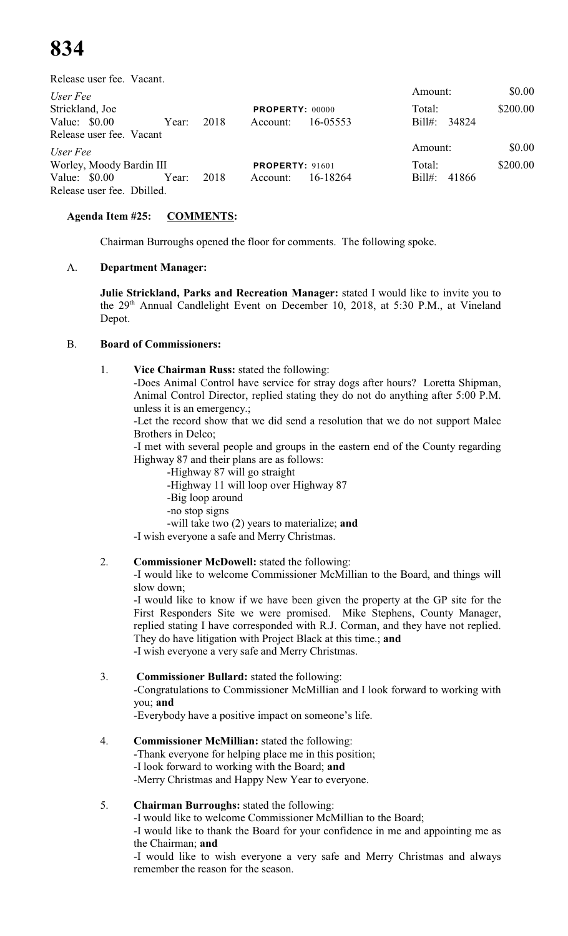Release user fee. Vacant.

| User Fee                   |       |      |                        |          | Amount:                  | \$0.00   |
|----------------------------|-------|------|------------------------|----------|--------------------------|----------|
| Strickland, Joe            |       |      | <b>PROPERTY: 00000</b> |          | Total:                   | \$200.00 |
| Value: $$0.00$             | Year: | 2018 | Account:               | 16-05553 | Bill#: 34824             |          |
| Release user fee. Vacant   |       |      |                        |          |                          |          |
| User Fee                   |       |      |                        |          | Amount:                  | \$0.00   |
| Worley, Moody Bardin III   |       |      | <b>PROPERTY: 91601</b> |          | Total:                   | \$200.00 |
| Value: $$0.00$             | Year: | 2018 | Account:               | 16-18264 | $\text{Bill}$ :<br>41866 |          |
| Release user fee. Dbilled. |       |      |                        |          |                          |          |

### **Agenda Item #25: COMMENTS:**

Chairman Burroughs opened the floor for comments. The following spoke.

### A. **Department Manager:**

**Julie Strickland, Parks and Recreation Manager:** stated I would like to invite you to the  $29<sup>th</sup>$  Annual Candlelight Event on December 10, 2018, at 5:30 P.M., at Vineland Depot.

### B. **Board of Commissioners:**

1. **Vice Chairman Russ:** stated the following:

-Does Animal Control have service for stray dogs after hours? Loretta Shipman, Animal Control Director, replied stating they do not do anything after 5:00 P.M. unless it is an emergency.;

-Let the record show that we did send a resolution that we do not support Malec Brothers in Delco;

-I met with several people and groups in the eastern end of the County regarding Highway 87 and their plans are as follows:

- -Highway 87 will go straight
- -Highway 11 will loop over Highway 87
- -Big loop around
- -no stop signs
- -will take two (2) years to materialize; **and**

-I wish everyone a safe and Merry Christmas.

# 2. **Commissioner McDowell:** stated the following:

-I would like to welcome Commissioner McMillian to the Board, and things will slow down;

-I would like to know if we have been given the property at the GP site for the First Responders Site we were promised. Mike Stephens, County Manager, replied stating I have corresponded with R.J. Corman, and they have not replied. They do have litigation with Project Black at this time.; **and** -I wish everyone a very safe and Merry Christmas.

# 3. **Commissioner Bullard:** stated the following:

-Congratulations to Commissioner McMillian and I look forward to working with you; **and**

-Everybody have a positive impact on someone's life.

4. **Commissioner McMillian:** stated the following: -Thank everyone for helping place me in this position; -I look forward to working with the Board; **and** -Merry Christmas and Happy New Year to everyone.

# 5. **Chairman Burroughs:** stated the following:

-I would like to welcome Commissioner McMillian to the Board;

-I would like to thank the Board for your confidence in me and appointing me as the Chairman; **and**

-I would like to wish everyone a very safe and Merry Christmas and always remember the reason for the season.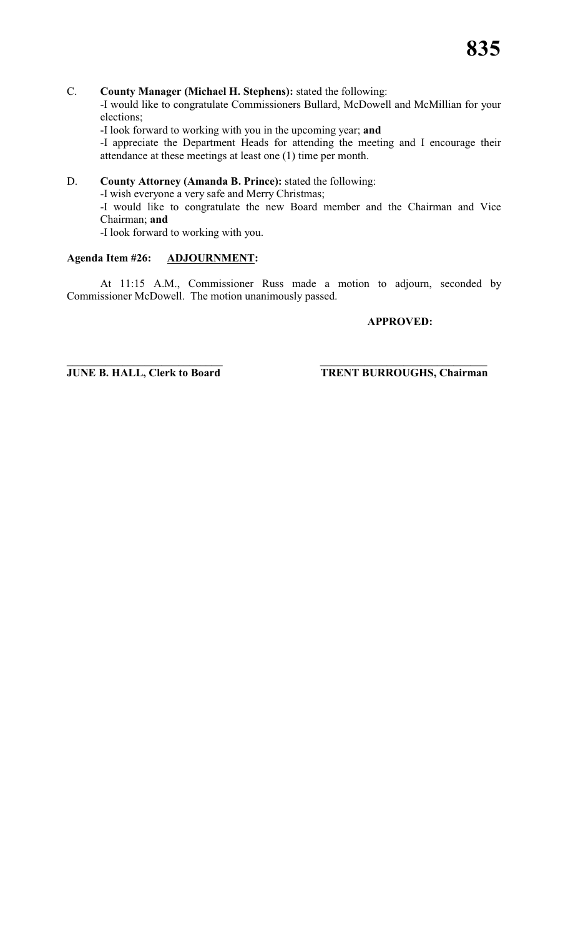#### C. **County Manager (Michael H. Stephens):** stated the following:

-I would like to congratulate Commissioners Bullard, McDowell and McMillian for your elections;

-I look forward to working with you in the upcoming year; **and**

-I appreciate the Department Heads for attending the meeting and I encourage their attendance at these meetings at least one (1) time per month.

# D. **County Attorney (Amanda B. Prince):** stated the following:

-I wish everyone a very safe and Merry Christmas;

-I would like to congratulate the new Board member and the Chairman and Vice Chairman; **and**

-I look forward to working with you.

#### **Agenda Item #26: ADJOURNMENT:**

At 11:15 A.M., Commissioner Russ made a motion to adjourn, seconded by Commissioner McDowell. The motion unanimously passed.

#### **APPROVED:**

**\_\_\_\_\_\_\_\_\_\_\_\_\_\_\_\_\_\_\_\_\_\_\_\_\_\_\_\_ \_\_\_\_\_\_\_\_\_\_\_\_\_\_\_\_\_\_\_\_\_\_\_\_\_\_\_\_\_\_**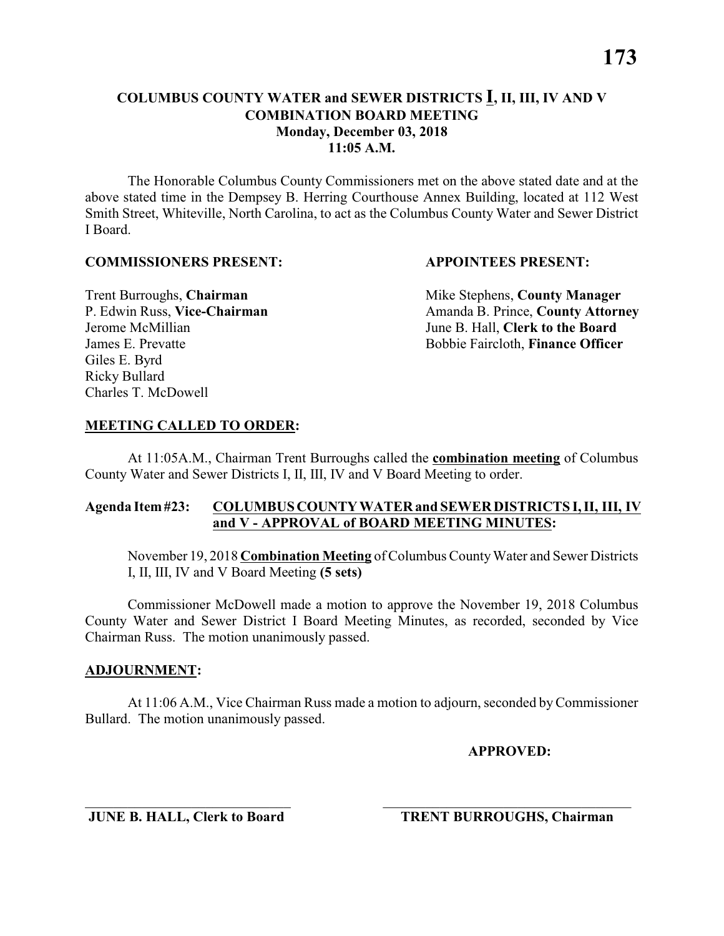The Honorable Columbus County Commissioners met on the above stated date and at the above stated time in the Dempsey B. Herring Courthouse Annex Building, located at 112 West Smith Street, Whiteville, North Carolina, to act as the Columbus County Water and Sewer District I Board.

#### **COMMISSIONERS PRESENT: APPOINTEES PRESENT:**

Giles E. Byrd Ricky Bullard Charles T. McDowell

**Trent Burroughs, Chairman** Mike Stephens, **County Manager** P. Edwin Russ, Vice-Chairman Amanda B. Prince, County Attorney Jerome McMillian June B. Hall, **Clerk to the Board** James E. Prevatte Bobbie Faircloth, **Finance Officer**

#### **MEETING CALLED TO ORDER:**

At 11:05A.M., Chairman Trent Burroughs called the **combination meeting** of Columbus County Water and Sewer Districts I, II, III, IV and V Board Meeting to order.

#### **Agenda Item #23: COLUMBUS COUNTY WATER and SEWER DISTRICTS I, II, III, IV and V - APPROVAL of BOARD MEETING MINUTES:**

November 19, 2018 **Combination Meeting** of Columbus County Water and Sewer Districts I, II, III, IV and V Board Meeting **(5 sets)**

Commissioner McDowell made a motion to approve the November 19, 2018 Columbus County Water and Sewer District I Board Meeting Minutes, as recorded, seconded by Vice Chairman Russ. The motion unanimously passed.

#### **ADJOURNMENT:**

At 11:06 A.M., Vice Chairman Russ made a motion to adjourn, seconded by Commissioner Bullard. The motion unanimously passed.

\_\_\_\_\_\_\_\_\_\_\_\_\_\_\_\_\_\_\_\_\_\_\_\_\_\_\_\_\_ \_\_\_\_\_\_\_\_\_\_\_\_\_\_\_\_\_\_\_\_\_\_\_\_\_\_\_\_\_\_\_\_\_\_\_

**APPROVED:**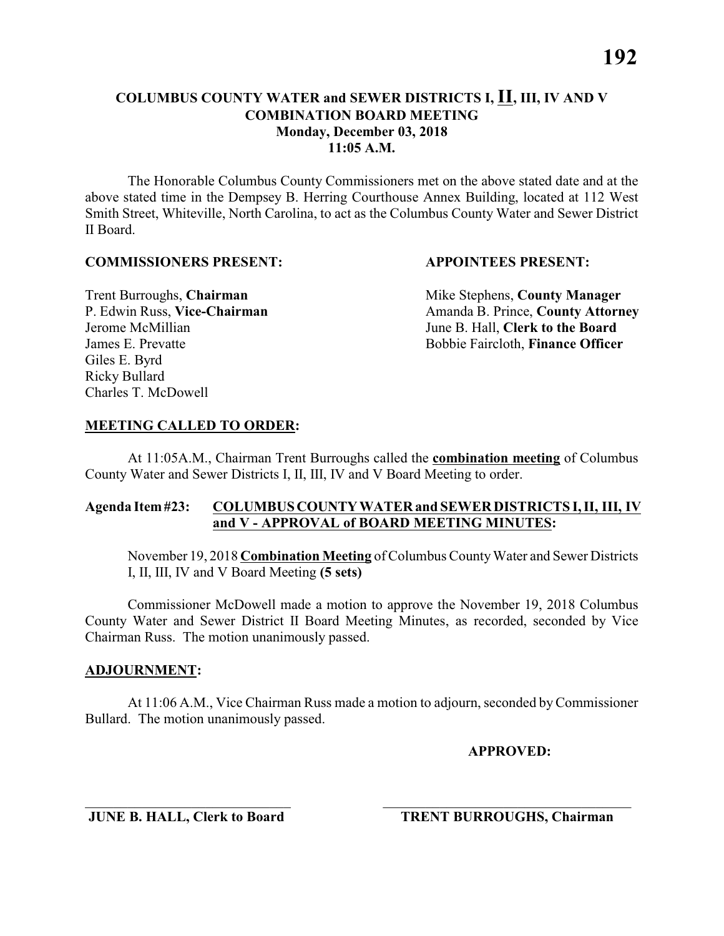The Honorable Columbus County Commissioners met on the above stated date and at the above stated time in the Dempsey B. Herring Courthouse Annex Building, located at 112 West Smith Street, Whiteville, North Carolina, to act as the Columbus County Water and Sewer District II Board.

#### **COMMISSIONERS PRESENT: APPOINTEES PRESENT:**

Giles E. Byrd Ricky Bullard Charles T. McDowell

**Trent Burroughs, Chairman** Mike Stephens, **County Manager** P. Edwin Russ, Vice-Chairman Amanda B. Prince, County Attorney Jerome McMillian June B. Hall, **Clerk to the Board** James E. Prevatte Bobbie Faircloth, **Finance Officer**

#### **MEETING CALLED TO ORDER:**

At 11:05A.M., Chairman Trent Burroughs called the **combination meeting** of Columbus County Water and Sewer Districts I, II, III, IV and V Board Meeting to order.

#### **Agenda Item #23: COLUMBUS COUNTY WATER and SEWER DISTRICTS I, II, III, IV and V - APPROVAL of BOARD MEETING MINUTES:**

November 19, 2018 **Combination Meeting** of Columbus County Water and Sewer Districts I, II, III, IV and V Board Meeting **(5 sets)**

Commissioner McDowell made a motion to approve the November 19, 2018 Columbus County Water and Sewer District II Board Meeting Minutes, as recorded, seconded by Vice Chairman Russ. The motion unanimously passed.

#### **ADJOURNMENT:**

At 11:06 A.M., Vice Chairman Russ made a motion to adjourn, seconded by Commissioner Bullard. The motion unanimously passed.

\_\_\_\_\_\_\_\_\_\_\_\_\_\_\_\_\_\_\_\_\_\_\_\_\_\_\_\_\_ \_\_\_\_\_\_\_\_\_\_\_\_\_\_\_\_\_\_\_\_\_\_\_\_\_\_\_\_\_\_\_\_\_\_\_

**APPROVED:**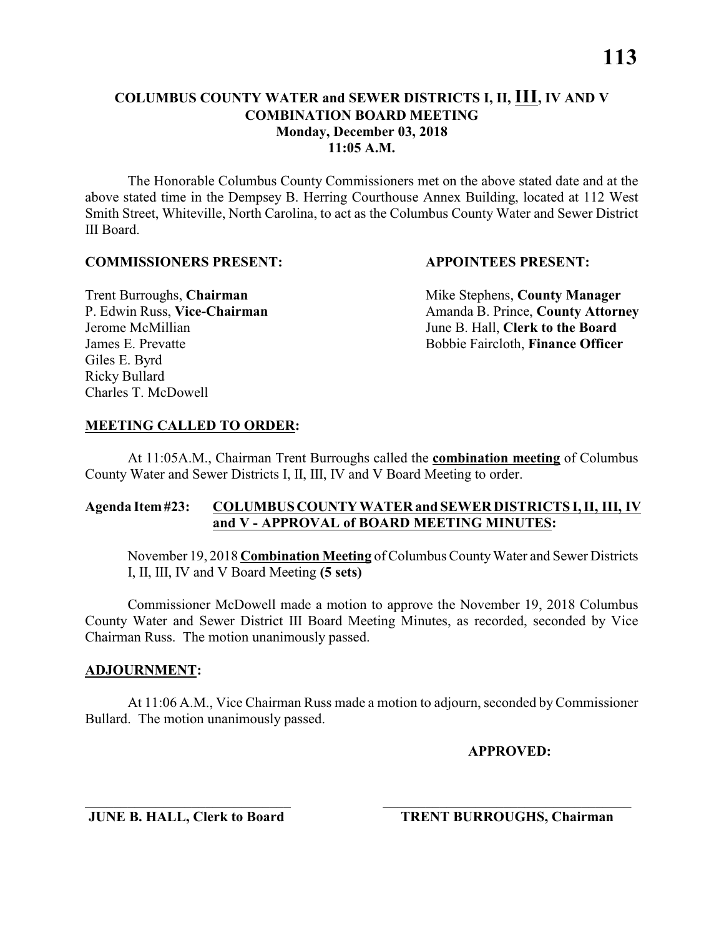The Honorable Columbus County Commissioners met on the above stated date and at the above stated time in the Dempsey B. Herring Courthouse Annex Building, located at 112 West Smith Street, Whiteville, North Carolina, to act as the Columbus County Water and Sewer District III Board.

#### **COMMISSIONERS PRESENT: APPOINTEES PRESENT:**

Giles E. Byrd Ricky Bullard Charles T. McDowell

**Trent Burroughs, Chairman** Mike Stephens, **County Manager** P. Edwin Russ, Vice-Chairman Amanda B. Prince, County Attorney Jerome McMillian June B. Hall, **Clerk to the Board** James E. Prevatte Bobbie Faircloth, **Finance Officer**

#### **MEETING CALLED TO ORDER:**

At 11:05A.M., Chairman Trent Burroughs called the **combination meeting** of Columbus County Water and Sewer Districts I, II, III, IV and V Board Meeting to order.

#### **Agenda Item #23: COLUMBUS COUNTY WATER and SEWER DISTRICTS I, II, III, IV and V - APPROVAL of BOARD MEETING MINUTES:**

November 19, 2018 **Combination Meeting** of Columbus County Water and Sewer Districts I, II, III, IV and V Board Meeting **(5 sets)**

Commissioner McDowell made a motion to approve the November 19, 2018 Columbus County Water and Sewer District III Board Meeting Minutes, as recorded, seconded by Vice Chairman Russ. The motion unanimously passed.

#### **ADJOURNMENT:**

At 11:06 A.M., Vice Chairman Russ made a motion to adjourn, seconded by Commissioner Bullard. The motion unanimously passed.

\_\_\_\_\_\_\_\_\_\_\_\_\_\_\_\_\_\_\_\_\_\_\_\_\_\_\_\_\_ \_\_\_\_\_\_\_\_\_\_\_\_\_\_\_\_\_\_\_\_\_\_\_\_\_\_\_\_\_\_\_\_\_\_\_

**APPROVED:**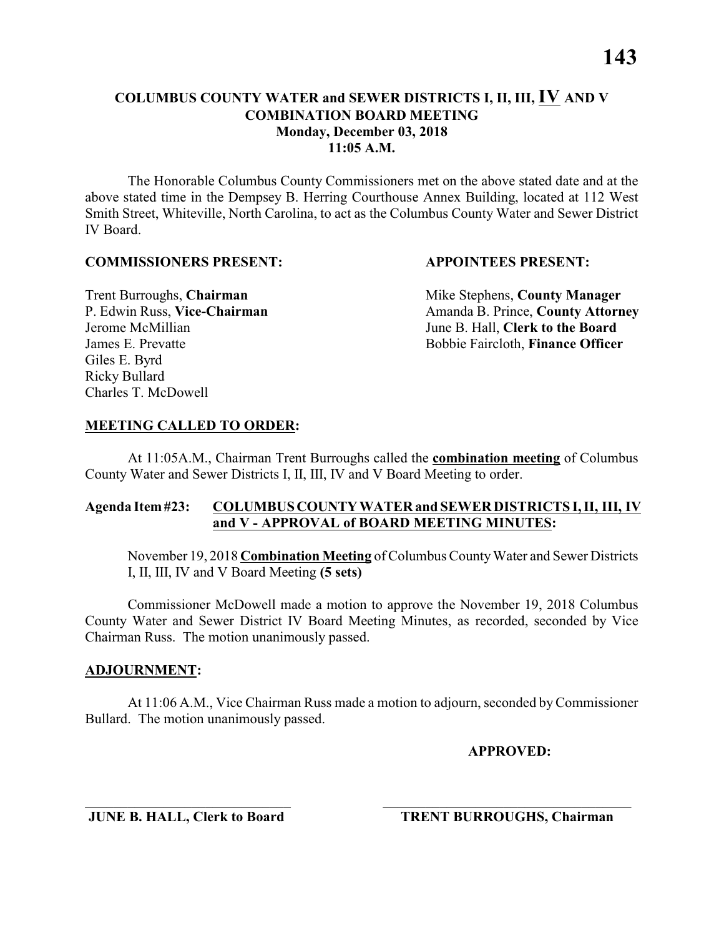**11:05 A.M.**

The Honorable Columbus County Commissioners met on the above stated date and at the above stated time in the Dempsey B. Herring Courthouse Annex Building, located at 112 West Smith Street, Whiteville, North Carolina, to act as the Columbus County Water and Sewer District IV Board.

#### **COMMISSIONERS PRESENT: APPOINTEES PRESENT:**

Giles E. Byrd Ricky Bullard Charles T. McDowell

**Trent Burroughs, Chairman** Mike Stephens, **County Manager** P. Edwin Russ, Vice-Chairman Amanda B. Prince, County Attorney Jerome McMillian June B. Hall, **Clerk to the Board** James E. Prevatte Bobbie Faircloth, **Finance Officer**

#### **MEETING CALLED TO ORDER:**

At 11:05A.M., Chairman Trent Burroughs called the **combination meeting** of Columbus County Water and Sewer Districts I, II, III, IV and V Board Meeting to order.

#### **Agenda Item #23: COLUMBUS COUNTY WATER and SEWER DISTRICTS I, II, III, IV and V - APPROVAL of BOARD MEETING MINUTES:**

November 19, 2018 **Combination Meeting** of Columbus County Water and Sewer Districts I, II, III, IV and V Board Meeting **(5 sets)**

Commissioner McDowell made a motion to approve the November 19, 2018 Columbus County Water and Sewer District IV Board Meeting Minutes, as recorded, seconded by Vice Chairman Russ. The motion unanimously passed.

#### **ADJOURNMENT:**

At 11:06 A.M., Vice Chairman Russ made a motion to adjourn, seconded by Commissioner Bullard. The motion unanimously passed.

\_\_\_\_\_\_\_\_\_\_\_\_\_\_\_\_\_\_\_\_\_\_\_\_\_\_\_\_\_ \_\_\_\_\_\_\_\_\_\_\_\_\_\_\_\_\_\_\_\_\_\_\_\_\_\_\_\_\_\_\_\_\_\_\_

**APPROVED:**